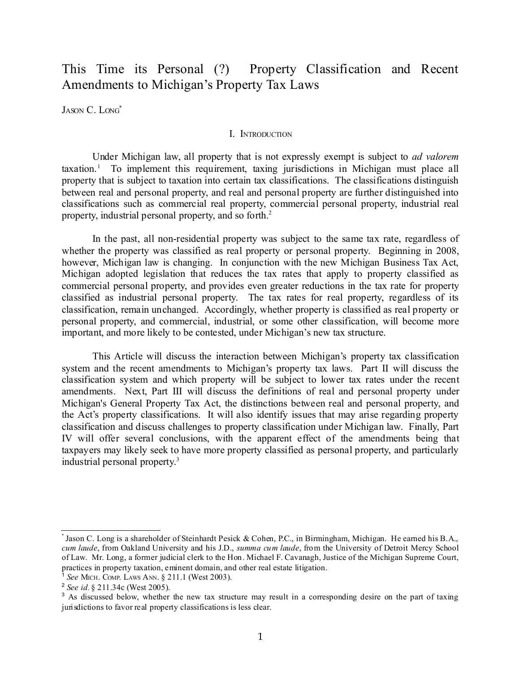# This Time its Personal (?) Property Classification and Recent Amendments to Michigan's Property Tax Laws

JASON C. LONG<sup>[\\*](#page-0-0)</sup>

#### I. INTRODUCTION

Under Michigan law, all property that is not expressly exempt is subject to *ad valorem* taxation. [1](#page-0-1) To implement this requirement, taxing jurisdictions in Michigan must place all property that is subject to taxation into certain tax classifications. The classifications distinguish between real and personal property, and real and personal property are further distinguished into classifications such as commercial real property, commercial personal property, industrial real property, industrial personal property, and so forth. [2](#page-0-2)

In the past, all non-residential property was subject to the same tax rate, regardless of whether the property was classified as real property or personal property. Beginning in 2008, however, Michigan law is changing. In conjunction with the new Michigan Business Tax Act, Michigan adopted legislation that reduces the tax rates that apply to property classified as commercial personal property, and provides even greater reductions in the tax rate for property classified as industrial personal property. The tax rates for real property, regardless of its classification, remain unchanged. Accordingly, whether property is classified as real property or personal property, and commercial, industrial, or some other classification, will become more important, and more likely to be contested, under Michigan's new tax structure.

This Article will discuss the interaction between Michigan's property tax classification system and the recent amendments to Michigan's property tax laws. Part II will discuss the classification system and which property will be subject to lower tax rates under the recent amendments. Next, Part III will discuss the definitions of real and personal property under Michigan's General Property Tax Act, the distinctions between real and personal property, and the Act's property classifications. It will also identify issues that may arise regarding property classification and discuss challenges to property classification under Michigan law. Finally, Part IV will offer several conclusions, with the apparent effect of the amendments being that taxpayers may likely seek to have more property classified as personal property, and particularly industrial personal property. [3](#page-0-3)

<span id="page-0-0"></span><sup>\*</sup> Jason C. Long is a shareholder of Steinhardt Pesick & Cohen, P.C., in Birmingham, Michigan. He earned his B.A., *cum laude*, from Oakland University and his J.D., *summa cum laude*, from the University of Detroit Mercy School of Law. Mr. Long, a former judicial clerk to the Hon. Michael F. Cavanagh, Justice of the Michigan Supreme Court, practices in property taxation, eminent domain, and other real estate litigation.

<span id="page-0-1"></span><sup>1</sup> *See* MICH. COMP. LAWS ANN. § 211.1 (West 2003).

<span id="page-0-2"></span><sup>2</sup> *See id.* § 211.34c (West 2005).

<span id="page-0-3"></span><sup>&</sup>lt;sup>3</sup> As discussed below, whether the new tax structure may result in a corresponding desire on the part of taxing jurisdictions to favor real property classifications is less clear.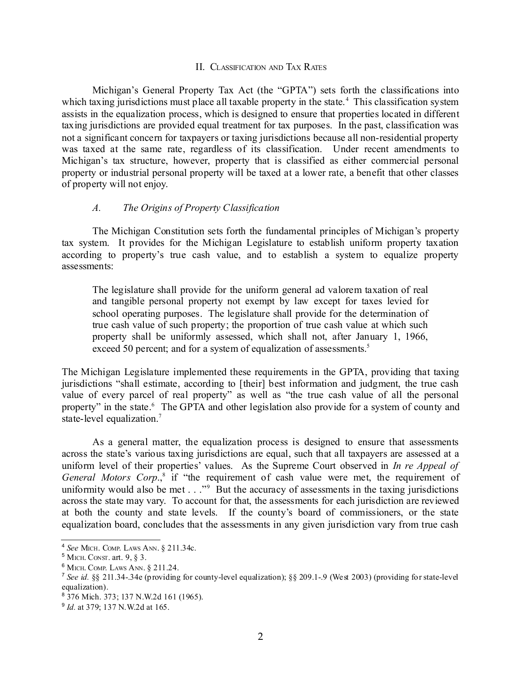#### II. CLASSIFICATION AND TAX RATES

Michigan's General Property Tax Act (the "GPTA") sets forth the classifications into which taxing jurisdictions must place all taxable property in the state.<sup>[4](#page-1-0)</sup> This classification system assists in the equalization process, which is designed to ensure that properties located in different taxing jurisdictions are provided equal treatment for tax purposes. In the past, classification was not a significant concern for taxpayers or taxing jurisdictions because all non-residential property was taxed at the same rate, regardless of its classification. Under recent amendments to Michigan's tax structure, however, property that is classified as either commercial personal property or industrial personal property will be taxed at a lower rate, a benefit that other classes of property will not enjoy.

#### *A. The Origins of Property Classification*

The Michigan Constitution sets forth the fundamental principles of Michigan's property tax system. It provides for the Michigan Legislature to establish uniform property taxation according to property's true cash value, and to establish a system to equalize property assessments:

The legislature shall provide for the uniform general ad valorem taxation of real and tangible personal property not exempt by law except for taxes levied for school operating purposes. The legislature shall provide for the determination of true cash value of such property; the proportion of true cash value at which such property shall be uniformly assessed, which shall not, after January 1, 1966, exceed [5](#page-1-1)0 percent; and for a system of equalization of assessments.<sup>5</sup>

The Michigan Legislature implemented these requirements in the GPTA, providing that taxing jurisdictions "shall estimate, according to [their] best information and judgment, the true cash value of every parcel of real property" as well as "the true cash value of all the personal property" in the state.<sup>[6](#page-1-2)</sup> The GPTA and other legislation also provide for a system of county and state-level equalization. [7](#page-1-3)

As a general matter, the equalization process is designed to ensure that assessments across the state's various taxing jurisdictions are equal, such that all taxpayers are assessed at a uniform level of their properties' values. As the Supreme Court observed in *In re Appeal of* General Motors Corp.,<sup>[8](#page-1-4)</sup> if "the requirement of cash value were met, the requirement of uniformity would also be met . . ."<sup>[9](#page-1-5)</sup> But the accuracy of assessments in the taxing jurisdictions across the state may vary. To account for that, the assessments for each jurisdiction are reviewed at both the county and state levels. If the county's board of commissioners, or the state equalization board, concludes that the assessments in any given jurisdiction vary from true cash

<span id="page-1-0"></span><sup>4</sup> *See* MICH. COMP. LAWS ANN. § 211.34c.

<span id="page-1-1"></span><sup>5</sup> MICH. CONST. art. 9, § 3.

<span id="page-1-2"></span><sup>6</sup> MICH. COMP. LAWS ANN. § 211.24.

<span id="page-1-3"></span><sup>7</sup> *See id.* §§ 211.34-.34e (providing for county-level equalization); §§ 209.1-.9 (West 2003) (providing for state-level equalization).

<span id="page-1-4"></span><sup>8</sup> 376 Mich. 373; 137 N.W.2d 161 (1965).

<span id="page-1-5"></span><sup>9</sup> *Id.* at 379; 137 N.W.2d at 165.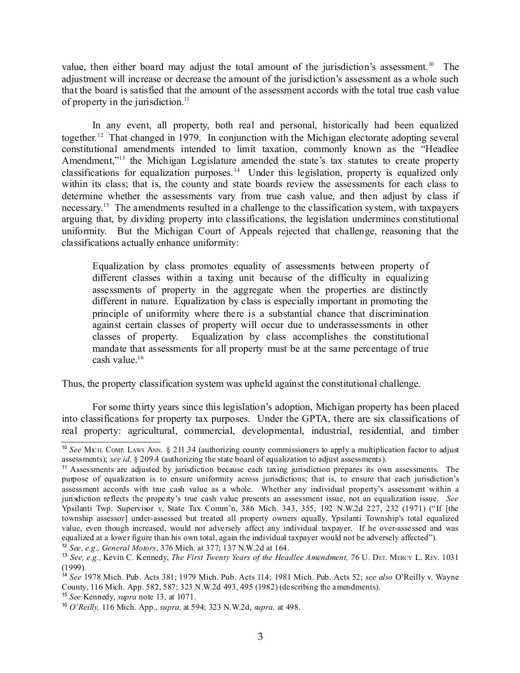value, then either board may adjust the total amount of the jurisdiction's assessment.<sup>[10](#page-2-0)</sup> The adjustment will increase or decrease the amount of the jurisdiction's assessment as a whole such that the board is satisfied that the amount of the assessment accords with the total true cash value of property in the jurisdiction.<sup>[11](#page-2-1)</sup>

In any event, all property, both real and personal, historically had been equalized together.<sup>[12](#page-2-2)</sup> That changed in 1979. In conjunction with the Michigan electorate adopting several constitutional amendments intended to limit taxation, commonly known as the "Headlee Amendment,"<sup>[13](#page-2-3)</sup> the Michigan Legislature amended the state's tax statutes to create property classifications for equalization purposes. [14](#page-2-4) Under this legislation, property is equalized only within its class; that is, the county and state boards review the assessments for each class to determine whether the assessments vary from true cash value, and then adjust by class if necessary. [15](#page-2-5) The amendments resulted in a challenge to the classification system, with taxpayers arguing that, by dividing property into classifications, the legislation undermines constitutional uniformity. But the Michigan Court of Appeals rejected that challenge, reasoning that the classifications actually enhance uniformity:

Equalization by class promotes equality of assessments between property of different classes within a taxing unit because of the difficulty in equalizing assessments of property in the aggregate when the properties are distinctly different in nature. Equalization by class is especially important in promoting the principle of uniformity where there is a substantial chance that discrimination against certain classes of property will occur due to underassessments in other classes of property. Equalization by class accomplishes the constitutional mandate that assessments for all property must be at the same percentage of true cash value. [16](#page-2-6)

Thus, the property classification system was upheld against the constitutional challenge.

For some thirty years since this legislation's adoption, Michigan property has been placed into classifications for property tax purposes. Under the GPTA, there are six classifications of real property: agricultural, commercial, developmental, industrial, residential, and timber

<span id="page-2-0"></span><sup>&</sup>lt;sup>10</sup> See MICH. COMP. LAWS ANN. § 211.34 (authorizing county commissioners to apply a multiplication factor to adjust assessments); *see id.* § 209.4 (authorizing the state board of equalization to adjust assessments).

<span id="page-2-1"></span><sup>&</sup>lt;sup>11</sup> Assessments are adjusted by jurisdiction because each taxing jurisdiction prepares its own assessments. The purpose of equalization is to ensure uniformity across jurisdictions; that is, to ensure that each jurisdiction's assessment accords with true cash value as a whole. Whether any individual property's assessment within a jurisdiction reflects the property's true cash value presents an assessment issue, not an equalization issue. *See* Ypsilanti Twp. Supervisor v. State Tax Comm'n, 386 Mich. 343, 355; 192 N.W.2d 227, 232 (1971) ("If [the township assessor] under-assessed but treated all property owners equally, Ypsilanti Township's total equalized value, even though increased, would not adversely affect any individual taxpayer. If he over-assessed and was equalized at a lower figure than his own total, again the individual taxpayer would not be adversely affected").

<span id="page-2-2"></span><sup>12</sup> *See, e.g., General Motors,* 376 Mich. at 377; 137 N.W.2d at 164.

<span id="page-2-3"></span><sup>13</sup> *See, e.g.,* Kevin C. Kennedy, *The First Twenty Years of the Headlee Amendment,* 76 U. DET. MERCY L. REV. 1031  $(1999)$ .

<span id="page-2-4"></span><sup>14</sup> *See* 1978 Mich. Pub. Acts 381; 1979 Mich. Pub. Acts 114; 1981 Mich. Pub. Acts 52; *see also* O'Reilly v. Wayne County, 116 Mich. App. 582, 587; 323 N.W.2d 493, 495 (1982) (describing the amendments).

<span id="page-2-5"></span><sup>15</sup> *See* Kennedy, *supra* note 13, at 1071.

<span id="page-2-6"></span><sup>16</sup> *O'Reilly,* 116 Mich. App., *supra,* at 594; 323 N.W.2d, *supra,* at 498.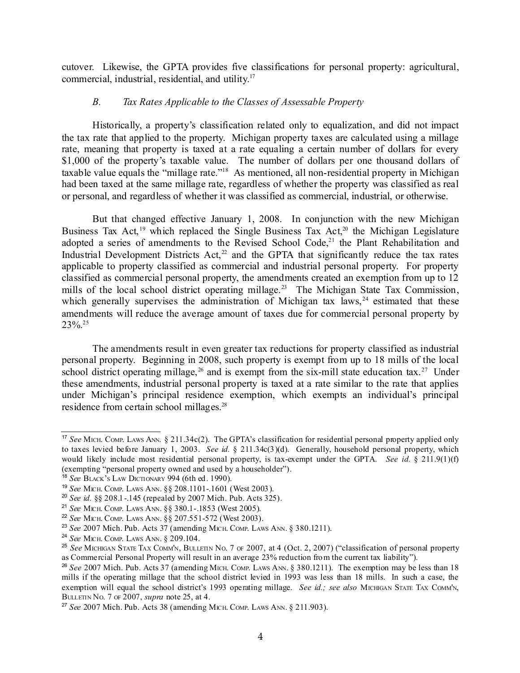cutover. Likewise, the GPTA provides five classifications for personal property: agricultural, commercial, industrial, residential, and utility. [17](#page-3-0)

#### *B. Tax Rates Applicable to the Classes of Assessable Property*

Historically, a property's classification related only to equalization, and did not impact the tax rate that applied to the property. Michigan property taxes are calculated using a millage rate, meaning that property is taxed at a rate equaling a certain number of dollars for every \$1,000 of the property's taxable value. The number of dollars per one thousand dollars of taxable value equals the "millage rate."<sup>[18](#page-3-1)</sup> As mentioned, all non-residential property in Michigan had been taxed at the same millage rate, regardless of whether the property was classified as real or personal, and regardless of whether it was classified as commercial, industrial, or otherwise.

But that changed effective January 1, 2008. In conjunction with the new Michigan Business Tax Act,<sup>[19](#page-3-2)</sup> which replaced the Single Business Tax Act,<sup>[20](#page-3-3)</sup> the Michigan Legislature adopted a series of amendments to the Revised School Code,<sup>[21](#page-3-4)</sup> the Plant Rehabilitation and Industrial Development Districts Act, $2$  and the GPTA that significantly reduce the tax rates applicable to property classified as commercial and industrial personal property. For property classified as commercial personal property, the amendments created an exemption from up to 12 mills of the local school district operating millage.<sup>[23](#page-3-6)</sup> The Michigan State Tax Commission, which generally supervises the administration of Michigan tax laws,  $24$  estimated that these amendments will reduce the average amount of taxes due for commercial personal property by 23%. [25](#page-3-8)

The amendments result in even greater tax reductions for property classified as industrial personal property. Beginning in 2008, such property is exempt from up to 18 mills of the local school district operating millage,<sup>[26](#page-3-9)</sup> and is exempt from the six-mill state education tax.<sup>[27](#page-3-10)</sup> Under these amendments, industrial personal property is taxed at a rate similar to the rate that applies under Michigan's principal residence exemption, which exempts an individual's principal residence from certain school millages. [28](#page-4-0)

<span id="page-3-0"></span><sup>&</sup>lt;sup>17</sup> See MICH. COMP. LAWS ANN. § 211.34c(2). The GPTA's classification for residential personal property applied only to taxes levied before January 1, 2003. *See id.* § 211.34c(3)(d). Generally, household personal property, which would likely include most residential personal property, is tax-exempt under the GPTA. *See id.* § 211.9(1)(f) (exempting "personal property owned and used by a householder").

<span id="page-3-1"></span><sup>18</sup> *See* BLACK'<sup>S</sup> LAW DICTIONARY 994 (6th ed. 1990).

<span id="page-3-2"></span><sup>19</sup> *See* MICH. COMP. LAWS ANN. §§ 208.1101-.1601 (West 2003).

<span id="page-3-3"></span><sup>20</sup> *See id.* §§ 208.1-.145 (repealed by 2007 Mich. Pub. Acts 325).

<span id="page-3-4"></span><sup>21</sup> *See* MICH. COMP. LAWS ANN. §§ 380.1-.1853 (West 2005).

<span id="page-3-5"></span><sup>22</sup> *See* MICH. COMP. LAWS ANN. §§ 207.551-572 (West 2003).

<span id="page-3-6"></span><sup>23</sup> *See* 2007 Mich. Pub. Acts 37 (amending MICH. COMP. LAWS ANN. § 380.1211).

<span id="page-3-7"></span><sup>24</sup> *See* MICH. COMP. LAWS ANN. § 209.104.

<span id="page-3-8"></span><sup>25</sup> *See* MICHIGAN STATE TAX COMM'N, BULLETIN NO. 7 OF 2007, at 4 (Oct. 2, 2007) ("classification of personal property as Commercial Personal Property will result in an average 23% reduction from the current tax liability").

<span id="page-3-9"></span><sup>&</sup>lt;sup>26</sup> See 2007 Mich. Pub. Acts 37 (amending MICH. COMP. LAWS ANN. § 380.1211). The exemption may be less than 18 mills if the operating millage that the school district levied in 1993 was less than 18 mills. In such a case, the exemption will equal the school district's 1993 operating millage. *See id.; see also* MICHIGAN STATE TAX COMM'N, BULLETIN NO. 7 OF 2007, *supra* note 25, at 4.

<span id="page-3-10"></span><sup>27</sup> *See* 2007 Mich. Pub. Acts 38 (amending MICH. COMP. LAWS ANN. § 211.903).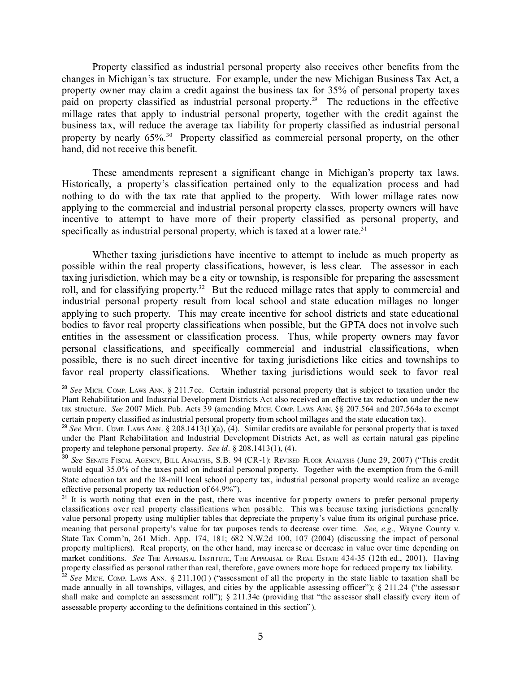Property classified as industrial personal property also receives other benefits from the changes in Michigan's tax structure. For example, under the new Michigan Business Tax Act, a property owner may claim a credit against the business tax for 35% of personal property taxes paid on property classified as industrial personal property. [29](#page-4-1) The reductions in the effective millage rates that apply to industrial personal property, together with the credit against the business tax, will reduce the average tax liability for property classified as industrial personal property by nearly 65%. [30](#page-4-2) Property classified as commercial personal property, on the other hand, did not receive this benefit.

These amendments represent a significant change in Michigan's property tax laws. Historically, a property's classification pertained only to the equalization process and had nothing to do with the tax rate that applied to the property. With lower millage rates now applying to the commercial and industrial personal property classes, property owners will have incentive to attempt to have more of their property classified as personal property, and specifically as industrial personal property, which is taxed at a lower rate.<sup>[31](#page-4-3)</sup>

Whether taxing jurisdictions have incentive to attempt to include as much property as possible within the real property classifications, however, is less clear. The assessor in each taxing jurisdiction, which may be a city or township, is responsible for preparing the assessment roll, and for classifying property.<sup>[32](#page-4-4)</sup> But the reduced millage rates that apply to commercial and industrial personal property result from local school and state education millages no longer applying to such property. This may create incentive for school districts and state educational bodies to favor real property classifications when possible, but the GPTA does not involve such entities in the assessment or classification process. Thus, while property owners may favor personal classifications, and specifically commercial and industrial classifications, when possible, there is no such direct incentive for taxing jurisdictions like cities and townships to favor real property classifications. Whether taxing jurisdictions would seek to favor real

<span id="page-4-0"></span><sup>28</sup> *See* MICH. COMP. LAWS ANN. § 211.7cc. Certain industrial personal property that is subject to taxation under the Plant Rehabilitation and Industrial Development Districts Act also received an effective tax reduction under the new tax structure. *See* 2007 Mich. Pub. Acts 39 (amending MICH. COMP. LAWS ANN. §§ 207.564 and 207.564a to exempt certain property classified as industrial personal property from school millages and the state education tax).

<span id="page-4-1"></span><sup>29</sup> *See* MICH. COMP. LAWS ANN. § 208.1413(1)(a), (4). Similar credits are available for personal property that is taxed under the Plant Rehabilitation and Industrial Development Districts Act, as well as certain natural gas pipeline property and telephone personal property. *See id*. § 208.1413(1), (4).

<span id="page-4-2"></span><sup>30</sup> *See* SENATE FISCAL AGENCY, BILL ANALYSIS, S.B. 94 (CR-1): REVISED FLOOR ANALYSIS (June 29, 2007) ("This credit would equal 35.0% of the taxes paid on industrial personal property. Together with the exemption from the 6-mill State education tax and the 18-mill local school property tax, industrial personal property would realize an average effective personal property tax reduction of 64.9%").

<span id="page-4-3"></span><sup>&</sup>lt;sup>31</sup> It is worth noting that even in the past, there was incentive for property owners to prefer personal property classifications over real property classifications when possible. This was because taxing jurisdictions generally value personal property using multiplier tables that depreciate the property's value from its original purchase price, meaning that personal property's value for tax purposes tends to decrease over time. *See, e.g.,* Wayne County v. State Tax Comm'n, 261 Mich. App. 174, 181; 682 N.W.2d 100, 107 (2004) (discussing the impact of personal property multipliers). Real property, on the other hand, may increase or decrease in value over time depending on market conditions. *See* THE APPRAISAL INSTITUTE, THE APPRAISAL OF REAL ESTATE 434-35 (12th ed., 2001). Having property classified as personal rather than real, therefore, gave owners more hope for reduced property tax liability.

<span id="page-4-4"></span><sup>32</sup> *See* MICH. COMP. LAWS ANN. § 211.10(1) ("assessment of all the property in the state liable to taxation shall be made annually in all townships, villages, and cities by the applicable assessing officer"); § 211.24 ("the assessor shall make and complete an assessment roll"); § 211.34c (providing that "the assessor shall classify every item of assessable property according to the definitions contained in this section").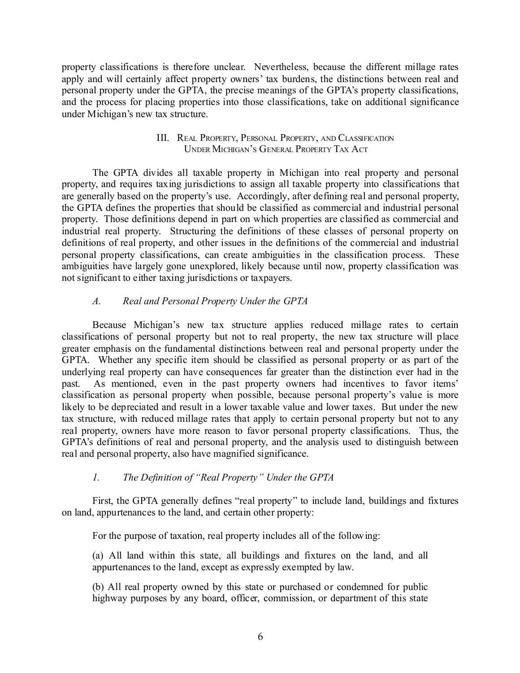property classifications is therefore unclear. Nevertheless, because the different millage rates apply and will certainly affect property owners' tax burdens, the distinctions between real and personal property under the GPTA, the precise meanings of the GPTA's property classifications, and the process for placing properties into those classifications, take on additional significance under Michigan's new tax structure.

#### III. REAL PROPERTY, PERSONAL PROPERTY, AND CLASSIFICATION UNDER MICHIGAN'<sup>S</sup> GENERAL PROPERTY TAX ACT

The GPTA divides all taxable property in Michigan into real property and personal property, and requires taxing jurisdictions to assign all taxable property into classifications that are generally based on the property's use. Accordingly, after defining real and personal property, the GPTA defines the properties that should be classified as commercial and industrial personal property. Those definitions depend in part on which properties are classified as commercial and industrial real property. Structuring the definitions of these classes of personal property on definitions of real property, and other issues in the definitions of the commercial and industrial personal property classifications, can create ambiguities in the classification process. These ambiguities have largely gone unexplored, likely because until now, property classification was not significant to either taxing jurisdictions or taxpayers.

### *A. Real and Personal Property Under the GPTA*

Because Michigan's new tax structure applies reduced millage rates to certain classifications of personal property but not to real property, the new tax structure will place greater emphasis on the fundamental distinctions between real and personal property under the GPTA. Whether any specific item should be classified as personal property or as part of the underlying real property can have consequences far greater than the distinction ever had in the past. As mentioned, even in the past property owners had incentives to favor items' classification as personal property when possible, because personal property's value is more likely to be depreciated and result in a lower taxable value and lower taxes. But under the new tax structure, with reduced millage rates that apply to certain personal property but not to any real property, owners have more reason to favor personal property classifications. Thus, the GPTA's definitions of real and personal property, and the analysis used to distinguish between real and personal property, also have magnified significance.

### *1. The Definition of "Real Property" Under the GPTA*

First, the GPTA generally defines "real property" to include land, buildings and fixtures on land, appurtenances to the land, and certain other property:

For the purpose of taxation, real property includes all of the following:

(a) All land within this state, all buildings and fixtures on the land, and all appurtenances to the land, except as expressly exempted by law.

(b) All real property owned by this state or purchased or condemned for public highway purposes by any board, officer, commission, or department of this state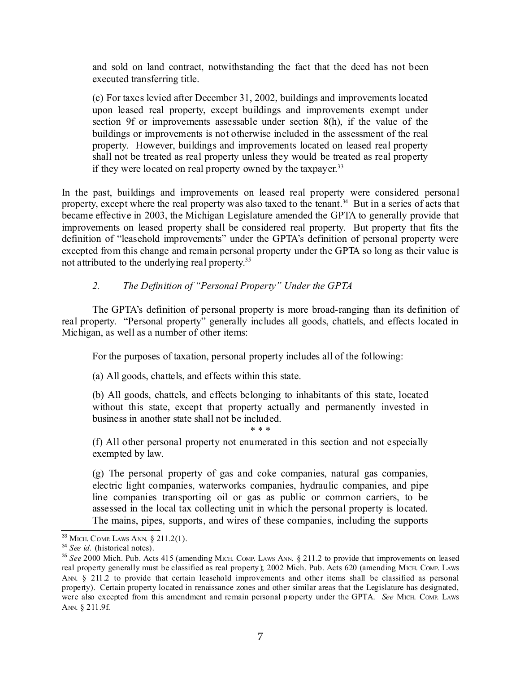and sold on land contract, notwithstanding the fact that the deed has not been executed transferring title.

(c) For taxes levied after December 31, 2002, buildings and improvements located upon leased real property, except buildings and improvements exempt under section 9f or improvements assessable under section 8(h), if the value of the buildings or improvements is not otherwise included in the assessment of the real property. However, buildings and improvements located on leased real property shall not be treated as real property unless they would be treated as real property if they were located on real property owned by the taxpayer.<sup>[33](#page-6-0)</sup>

In the past, buildings and improvements on leased real property were considered personal property, except where the real property was also taxed to the tenant.<sup>[34](#page-6-1)</sup> But in a series of acts that became effective in 2003, the Michigan Legislature amended the GPTA to generally provide that improvements on leased property shall be considered real property. But property that fits the definition of "leasehold improvements" under the GPTA's definition of personal property were excepted from this change and remain personal property under the GPTA so long as their value is not attributed to the underlying real property.<sup>[35](#page-6-2)</sup>

### *2. The Definition of "Personal Property" Under the GPTA*

The GPTA's definition of personal property is more broad-ranging than its definition of real property. "Personal property" generally includes all goods, chattels, and effects located in Michigan, as well as a number of other items:

For the purposes of taxation, personal property includes all of the following:

(a) All goods, chattels, and effects within this state.

(b) All goods, chattels, and effects belonging to inhabitants of this state, located without this state, except that property actually and permanently invested in business in another state shall not be included.

\* \* \*

(f) All other personal property not enumerated in this section and not especially exempted by law.

(g) The personal property of gas and coke companies, natural gas companies, electric light companies, waterworks companies, hydraulic companies, and pipe line companies transporting oil or gas as public or common carriers, to be assessed in the local tax collecting unit in which the personal property is located. The mains, pipes, supports, and wires of these companies, including the supports

<span id="page-6-0"></span><sup>33</sup> MICH. COMP. LAWS ANN. § 211.2(1).

<span id="page-6-1"></span><sup>34</sup> *See id.* (historical notes).

<span id="page-6-2"></span><sup>35</sup> *See* 2000 Mich. Pub. Acts 415 (amending MICH. COMP. LAWS ANN. § 211.2 to provide that improvements on leased real property generally must be classified as real property); 2002 Mich. Pub. Acts 620 (amending MICH. COMP. LAWS ANN. § 211.2 to provide that certain leasehold improvements and other items shall be classified as personal property). Certain property located in renaissance zones and other similar areas that the Legislature has designated, were also excepted from this amendment and remain personal property under the GPTA. *See* MICH. COMP. LAWS ANN. § 211.9f.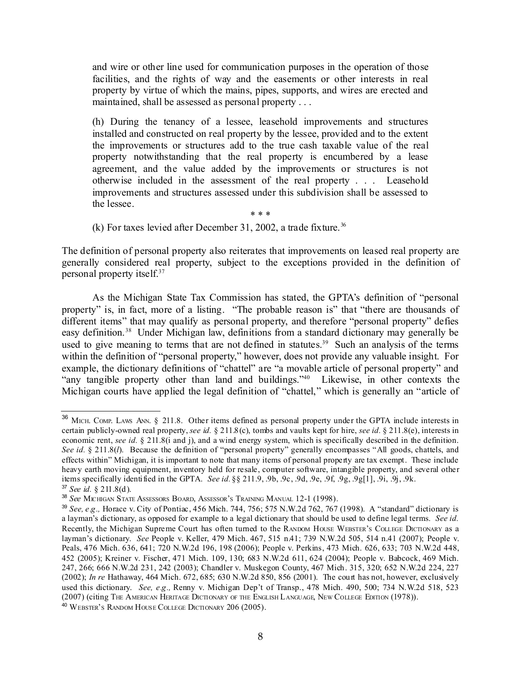and wire or other line used for communication purposes in the operation of those facilities, and the rights of way and the easements or other interests in real property by virtue of which the mains, pipes, supports, and wires are erected and maintained, shall be assessed as personal property . . .

(h) During the tenancy of a lessee, leasehold improvements and structures installed and constructed on real property by the lessee, provided and to the extent the improvements or structures add to the true cash taxable value of the real property notwithstanding that the real property is encumbered by a lease agreement, and the value added by the improvements or structures is not otherwise included in the assessment of the real property . . . Leasehold improvements and structures assessed under this subdivision shall be assessed to the lessee.

\* \* \*

(k) For taxes levied after December 31, 2002, a trade fixture. [36](#page-7-0)

The definition of personal property also reiterates that improvements on leased real property are generally considered real property, subject to the exceptions provided in the definition of personal property itself. [37](#page-7-1)

As the Michigan State Tax Commission has stated, the GPTA's definition of "personal property" is, in fact, more of a listing. "The probable reason is" that "there are thousands of different items" that may qualify as personal property, and therefore "personal property" defies easy definition.<sup>[38](#page-7-2)</sup> Under Michigan law, definitions from a standard dictionary may generally be used to give meaning to terms that are not defined in statutes.<sup>[39](#page-7-3)</sup> Such an analysis of the terms within the definition of "personal property," however, does not provide any valuable insight. For example, the dictionary definitions of "chattel" are "a movable article of personal property" and "any tangible property other than land and buildings." [40](#page-7-4) Likewise, in other contexts the Michigan courts have applied the legal definition of "chattel," which is generally an "article of

<span id="page-7-0"></span><sup>36</sup> MICH. COMP. LAWS ANN. § 211.8. Other items defined as personal property under the GPTA include interests in certain publicly-owned real property, *see id.* § 211.8(c), tombs and vaults kept for hire, *see id.* § 211.8(e), interests in economic rent, *see id.* § 211.8(i and j), and a wind energy system, which is specifically described in the definition. *See id.* § 211.8(*l*). Because the definition of "personal property" generally encompasses "All goods, chattels, and effects within" Michigan, it is important to note that many items of personal property are tax exempt. These include heavy earth moving equipment, inventory held for resale, computer software, intangible property, and several other items specifically identified in the GPTA. *See id.* §§ 211.9, .9b, .9c, .9d, .9e, .9f, .9g, .9g[1], .9i, .9j, .9k.

<span id="page-7-1"></span><sup>37</sup> *See id.* § 211.8(d).

<span id="page-7-2"></span><sup>38</sup> *See* MICHIGAN STATE ASSESSORS BOARD, ASSESSOR'<sup>S</sup> TRAINING MANUAL 12-1 (1998).

<span id="page-7-4"></span><span id="page-7-3"></span><sup>39</sup> *See, e.g.,* Horace v. City of Pontiac, 456 Mich. 744, 756; 575 N.W.2d 762, 767 (1998). A "standard" dictionary is a layman's dictionary, as opposed for example to a legal dictionary that should be used to define legal terms. *See id.* Recently, the Michigan Supreme Court has often turned to the RANDOM HOUSE WEBSTER'S COLLEGE DICTIONARY as a layman's dictionary. *See* People v. Keller, 479 Mich. 467, 515 n.41; 739 N.W.2d 505, 514 n.41 (2007); People v. Peals, 476 Mich. 636, 641; 720 N.W.2d 196, 198 (2006); People v. Perkins, 473 Mich. 626, 633; 703 N.W.2d 448, 452 (2005); Kreiner v. Fischer, 471 Mich. 109, 130; 683 N.W.2d 611, 624 (2004); People v. Babcock, 469 Mich. 247, 266; 666 N.W.2d 231, 242 (2003); Chandler v. Muskegon County, 467 Mich. 315, 320; 652 N.W.2d 224, 227 (2002); *In re* Hathaway, 464 Mich. 672, 685; 630 N.W.2d 850, 856 (2001). The court has not, however, exclusively used this dictionary. *See, e.g.,* Renny v. Michigan Dep't of Transp., 478 Mich. 490, 500; 734 N.W.2d 518, 523 (2007) (citing THE AMERICAN HERITAGE DICTIONARY OF THE ENGLISH LANGUAGE, NEW COLLEGE EDITION (1978)). <sup>40</sup> WEBSTER'<sup>S</sup> RANDOM HOUSE COLLEGE DICTIONARY 206 (2005).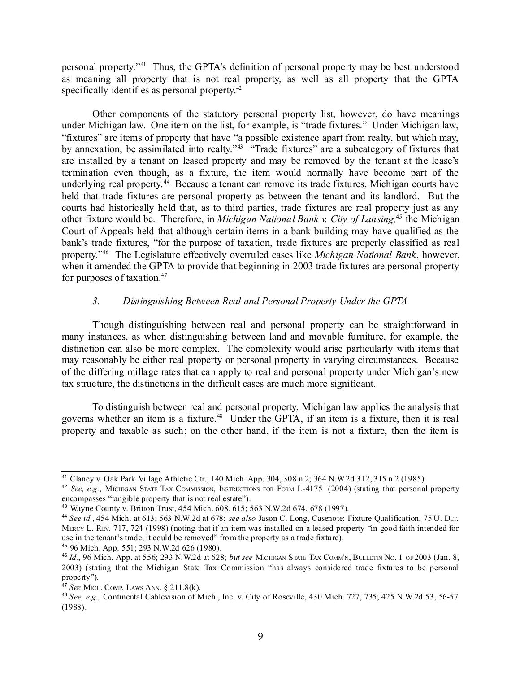personal property." [41](#page-8-0) Thus, the GPTA's definition of personal property may be best understood as meaning all property that is not real property, as well as all property that the GPTA specifically identifies as personal property.<sup>[42](#page-8-1)</sup>

Other components of the statutory personal property list, however, do have meanings under Michigan law. One item on the list, for example, is "trade fixtures." Under Michigan law, "fixtures" are items of property that have "a possible existence apart from realty, but which may, by annexation, be assimilated into realty."<sup>[43](#page-8-2)</sup> "Trade fixtures" are a subcategory of fixtures that are installed by a tenant on leased property and may be removed by the tenant at the lease's termination even though, as a fixture, the item would normally have become part of the underlying real property. [44](#page-8-3) Because a tenant can remove its trade fixtures, Michigan courts have held that trade fixtures are personal property as between the tenant and its landlord. But the courts had historically held that, as to third parties, trade fixtures are real property just as any other fixture would be. Therefore, in *Michigan National Bank v. City of Lansing,* [45](#page-8-4) the Michigan Court of Appeals held that although certain items in a bank building may have qualified as the bank's trade fixtures, "for the purpose of taxation, trade fixtures are properly classified as real property." [46](#page-8-5) The Legislature effectively overruled cases like *Michigan National Bank*, however, when it amended the GPTA to provide that beginning in 2003 trade fixtures are personal property for purposes of taxation. [47](#page-8-6)

#### *3. Distinguishing Between Real and Personal Property Under the GPTA*

Though distinguishing between real and personal property can be straightforward in many instances, as when distinguishing between land and movable furniture, for example, the distinction can also be more complex. The complexity would arise particularly with items that may reasonably be either real property or personal property in varying circumstances. Because of the differing millage rates that can apply to real and personal property under Michigan's new tax structure, the distinctions in the difficult cases are much more significant.

To distinguish between real and personal property, Michigan law applies the analysis that governs whether an item is a fixture. [48](#page-8-6) Under the GPTA, if an item is a fixture, then it is real property and taxable as such; on the other hand, if the item is not a fixture, then the item is

<span id="page-8-0"></span><sup>&</sup>lt;sup>41</sup> Clancy v. Oak Park Village Athletic Ctr., 140 Mich. App. 304, 308 n.2; 364 N.W.2d 312, 315 n.2 (1985).

<span id="page-8-1"></span><sup>42</sup> *See, e.g.,* MICHIGAN STATE TAX COMMISSION, INSTRUCTIONS FOR FORM L-4175 (2004) (stating that personal property encompasses "tangible property that is not real estate").

<span id="page-8-2"></span><sup>43</sup> Wayne County v. Britton Trust, 454 Mich. 608, 615; 563 N.W.2d 674, 678 (1997).

<span id="page-8-3"></span><sup>44</sup> *See id.*, 454 Mich. at 613; 563 N.W.2d at 678; *see also* Jason C. Long, Casenote: Fixture Qualification, 75 U. DET. MERCY L. REV. 717, 724 (1998) (noting that if an item was installed on a leased property "in good faith intended for use in the tenant's trade, it could be removed" from the property as a trade fixture).

<span id="page-8-4"></span><sup>45</sup> 96 Mich. App. 551; 293 N.W.2d 626 (1980).

<span id="page-8-5"></span><sup>46</sup> *Id.*, 96 Mich. App. at 556; 293 N.W.2d at 628; *but see* MICHIGAN STATE TAX COMM'N, BULLETIN NO. 1 OF 2003 (Jan. 8, 2003) (stating that the Michigan State Tax Commission "has always considered trade fixtures to be personal property").

<span id="page-8-6"></span><sup>47</sup> *See* MICH. COMP. LAWS ANN. § 211.8(k).

<sup>48</sup> *See, e.g.,* Continental Cablevision of Mich., Inc. v. City of Roseville, 430 Mich. 727, 735; 425 N.W.2d 53, 56-57 (1988).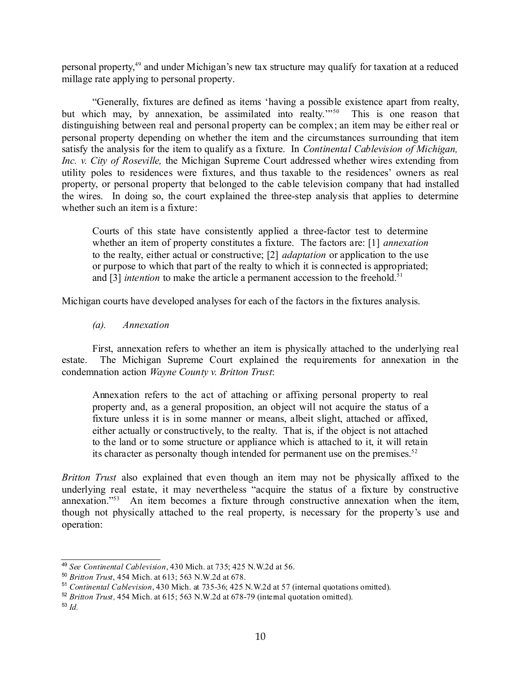personal property, [49](#page-9-0) and under Michigan's new tax structure may qualify for taxation at a reduced millage rate applying to personal property.

"Generally, fixtures are defined as items 'having a possible existence apart from realty, but which may, by annexation, be assimilated into realty.<sup>20[50](#page-9-1)</sup> This is one reason that distinguishing between real and personal property can be complex; an item may be either real or personal property depending on whether the item and the circumstances surrounding that item satisfy the analysis for the item to qualify as a fixture. In *Continental Cablevision of Michigan, Inc. v. City of Roseville,* the Michigan Supreme Court addressed whether wires extending from utility poles to residences were fixtures, and thus taxable to the residences' owners as real property, or personal property that belonged to the cable television company that had installed the wires. In doing so, the court explained the three-step analysis that applies to determine whether such an item is a fixture:

Courts of this state have consistently applied a three-factor test to determine whether an item of property constitutes a fixture. The factors are: [1] *annexation* to the realty, either actual or constructive; [2] *adaptation* or application to the use or purpose to which that part of the realty to which it is connected is appropriated; and [3] *intention* to make the article a permanent accession to the freehold. [51](#page-9-2)

Michigan courts have developed analyses for each of the factors in the fixtures analysis.

#### *(a). Annexation*

First, annexation refers to whether an item is physically attached to the underlying real estate. The Michigan Supreme Court explained the requirements for annexation in the condemnation action *Wayne County v. Britton Trust*:

Annexation refers to the act of attaching or affixing personal property to real property and, as a general proposition, an object will not acquire the status of a fixture unless it is in some manner or means, albeit slight, attached or affixed, either actually or constructively, to the realty. That is, if the object is not attached to the land or to some structure or appliance which is attached to it, it will retain its character as personalty though intended for permanent use on the premises. [52](#page-9-3)

*Britton Trust* also explained that even though an item may not be physically affixed to the underlying real estate, it may nevertheless "acquire the status of a fixture by constructive annexation." [53](#page-9-4) An item becomes a fixture through constructive annexation when the item, though not physically attached to the real property, is necessary for the property's use and operation:

<span id="page-9-0"></span><sup>49</sup> *See Continental Cablevision*, 430 Mich. at 735; 425 N.W.2d at 56.

<span id="page-9-1"></span><sup>50</sup> *Britton Trust*, 454 Mich. at 613; 563 N.W.2d at 678.

<span id="page-9-2"></span><sup>51</sup> *Continental Cablevision*, 430 Mich. at 735-36; 425 N.W.2d at 57 (internal quotations omitted).

<span id="page-9-3"></span><sup>52</sup> *Britton Trust,* 454 Mich. at 615; 563 N.W.2d at 678-79 (internal quotation omitted).

<span id="page-9-4"></span><sup>53</sup> *Id.*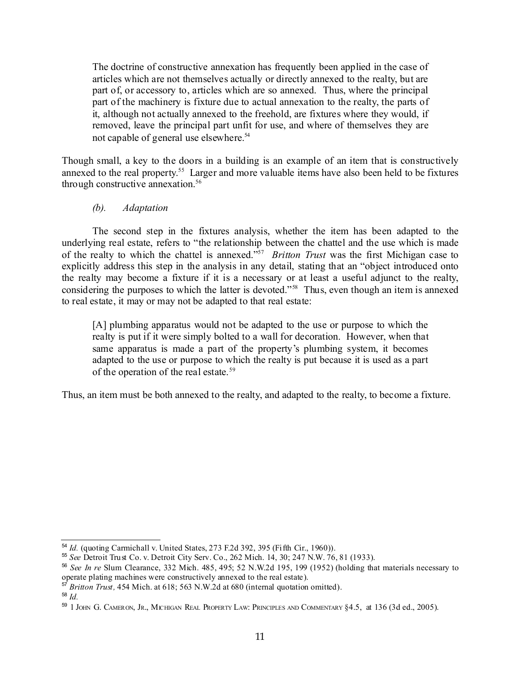The doctrine of constructive annexation has frequently been applied in the case of articles which are not themselves actually or directly annexed to the realty, but are part of, or accessory to, articles which are so annexed. Thus, where the principal part of the machinery is fixture due to actual annexation to the realty, the parts of it, although not actually annexed to the freehold, are fixtures where they would, if removed, leave the principal part unfit for use, and where of themselves they are not capable of general use elsewhere. [54](#page-10-0)

Though small, a key to the doors in a building is an example of an item that is constructively annexed to the real property.<sup>[55](#page-10-1)</sup> Larger and more valuable items have also been held to be fixtures through constructive annexation. [56](#page-10-2)

#### *(b). Adaptation*

The second step in the fixtures analysis, whether the item has been adapted to the underlying real estate, refers to "the relationship between the chattel and the use which is made of the realty to which the chattel is annexed." [57](#page-10-3) *Britton Trust* was the first Michigan case to explicitly address this step in the analysis in any detail, stating that an "object introduced onto the realty may become a fixture if it is a necessary or at least a useful adjunct to the realty, considering the purposes to which the latter is devoted." [58](#page-10-4) Thus, even though an item is annexed to real estate, it may or may not be adapted to that real estate:

[A] plumbing apparatus would not be adapted to the use or purpose to which the realty is put if it were simply bolted to a wall for decoration. However, when that same apparatus is made a part of the property's plumbing system, it becomes adapted to the use or purpose to which the realty is put because it is used as a part of the operation of the real estate. [59](#page-10-5)

Thus, an item must be both annexed to the realty, and adapted to the realty, to become a fixture.

<span id="page-10-0"></span><sup>54</sup> *Id.* (quoting Carmichall v. United States, 273 F.2d 392, 395 (Fifth Cir., 1960)).

<span id="page-10-1"></span><sup>55</sup> *See* Detroit Trust Co. v. Detroit City Serv. Co., 262 Mich. 14, 30; 247 N.W. 76, 81 (1933).

<span id="page-10-2"></span><sup>56</sup> *See In re* Slum Clearance, 332 Mich. 485, 495; 52 N.W.2d 195, 199 (1952) (holding that materials necessary to operate plating machines were constructively annexed to the real estate).

<span id="page-10-3"></span><sup>57</sup> *Britton Trust,* 454 Mich. at 618; 563 N.W.2d at 680 (internal quotation omitted).

<span id="page-10-4"></span><sup>58</sup> *Id.*

<span id="page-10-5"></span><sup>59</sup> 1 JOHN G. CAMERON, JR., MICHIGAN REAL PROPERTY LAW: PRINCIPLES AND COMMENTARY §4.5, at 136 (3d ed., 2005).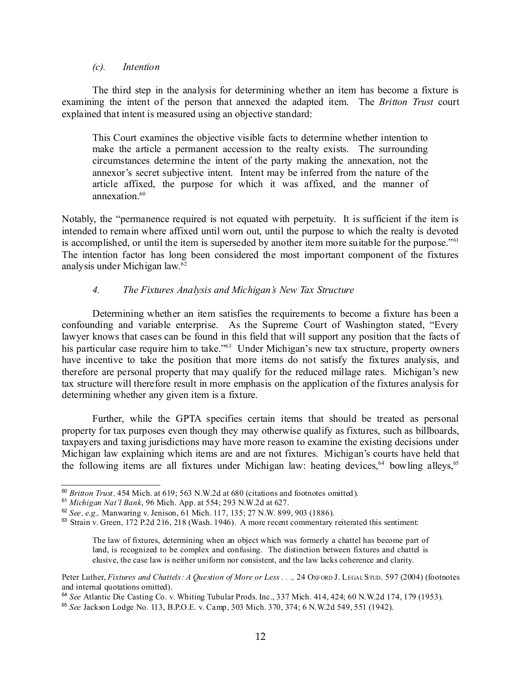#### *(c). Intention*

The third step in the analysis for determining whether an item has become a fixture is examining the intent of the person that annexed the adapted item. The *Britton Trust* court explained that intent is measured using an objective standard:

This Court examines the objective visible facts to determine whether intention to make the article a permanent accession to the realty exists. The surrounding circumstances determine the intent of the party making the annexation, not the annexor's secret subjective intent. Intent may be inferred from the nature of the article affixed, the purpose for which it was affixed, and the manner of annexation. [60](#page-11-0)

Notably, the "permanence required is not equated with perpetuity. It is sufficient if the item is intended to remain where affixed until worn out, until the purpose to which the realty is devoted is accomplished, or until the item is superseded by another item more suitable for the purpose."<sup>[61](#page-11-1)</sup> The intention factor has long been considered the most important component of the fixtures analysis under Michigan law. [62](#page-11-2)

### *4. The Fixtures Analysis and Michigan's New Tax Structure*

Determining whether an item satisfies the requirements to become a fixture has been a confounding and variable enterprise. As the Supreme Court of Washington stated, "Every lawyer knows that cases can be found in this field that will support any position that the facts of his particular case require him to take."<sup>[63](#page-11-3)</sup> Under Michigan's new tax structure, property owners have incentive to take the position that more items do not satisfy the fixtures analysis, and therefore are personal property that may qualify for the reduced millage rates. Michigan's new tax structure will therefore result in more emphasis on the application of the fixtures analysis for determining whether any given item is a fixture.

Further, while the GPTA specifies certain items that should be treated as personal property for tax purposes even though they may otherwise qualify as fixtures, such as billboards, taxpayers and taxing jurisdictions may have more reason to examine the existing decisions under Michigan law explaining which items are and are not fixtures. Michigan's courts have held that the following items are all fixtures under Michigan law: heating devices,<sup>[64](#page-11-4)</sup> bowling alleys,<sup>[65](#page-11-5)</sup>

<span id="page-11-0"></span><sup>60</sup> *Britton Trust,* 454 Mich. at 619; 563 N.W.2d at 680 (citations and footnotes omitted).

<span id="page-11-1"></span><sup>61</sup> *Michigan Nat'l Bank*, 96 Mich. App. at 554; 293 N.W.2d at 627.

<span id="page-11-2"></span><sup>62</sup> *See, e.g.,* Manwaring v. Jenison, 61 Mich. 117, 135; 27 N.W. 899, 903 (1886).

<span id="page-11-3"></span> $63$  Strain v. Green, 172 P.2d 216, 218 (Wash. 1946). A more recent commentary reiterated this sentiment:

The law of fixtures, determining when an object which was formerly a chattel has become part of land, is recognized to be complex and confusing. The distinction between fixtures and chattel is elusive, the case law is neither uniform nor consistent, and the law lacks coherence and clarity.

Peter Luther, *Fixtures and Chattels: A Question of More or Less . . .,* 24 OXFORD J. LEGAL STUD. 597 (2004) (footnotes and internal quotations omitted).

<span id="page-11-4"></span><sup>64</sup> *See* Atlantic Die Casting Co. v. Whiting Tubular Prods. Inc., 337 Mich. 414, 424; 60 N.W.2d 174, 179 (1953).

<span id="page-11-5"></span><sup>65</sup> *See* Jackson Lodge No. 113, B.P.O.E. v. Camp, 303 Mich. 370, 374; 6 N.W.2d 549, 551 (1942).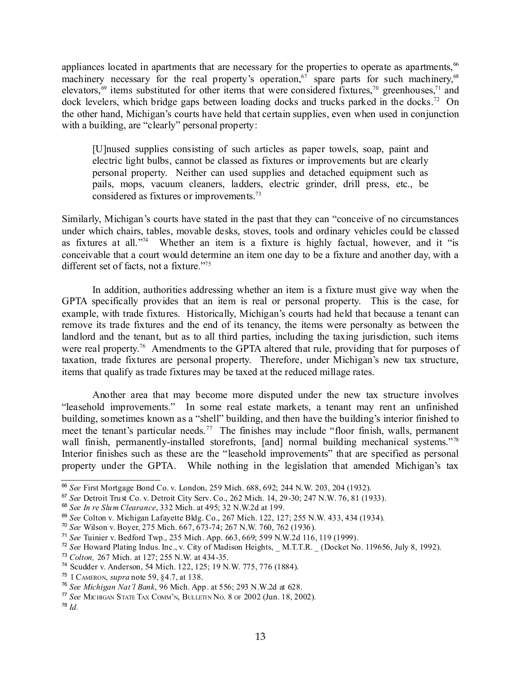appliances located in apartments that are necessary for the properties to operate as apartments,<sup>[66](#page-12-0)</sup> machinery necessary for the real property's operation,<sup>[67](#page-12-1)</sup> spare parts for such machinery,<sup>[68](#page-12-2)</sup> elevators,<sup> $\omega$ </sup> items substituted for other items that were considered fixtures,<sup>[70](#page-12-4)</sup> greenhouses,<sup>[71](#page-12-5)</sup> and dock levelers, which bridge gaps between loading docks and trucks parked in the docks.<sup>[72](#page-12-6)</sup> On the other hand, Michigan's courts have held that certain supplies, even when used in conjunction with a building, are "clearly" personal property:

[U]nused supplies consisting of such articles as paper towels, soap, paint and electric light bulbs, cannot be classed as fixtures or improvements but are clearly personal property. Neither can used supplies and detached equipment such as pails, mops, vacuum cleaners, ladders, electric grinder, drill press, etc., be considered as fixtures or improvements.<sup>[73](#page-12-7)</sup>

Similarly, Michigan's courts have stated in the past that they can "conceive of no circumstances under which chairs, tables, movable desks, stoves, tools and ordinary vehicles could be classed as fixtures at all." [74](#page-12-8) Whether an item is a fixture is highly factual, however, and it "is conceivable that a court would determine an item one day to be a fixture and another day, with a different set of facts, not a fixture."<sup>[75](#page-12-9)</sup>

In addition, authorities addressing whether an item is a fixture must give way when the GPTA specifically provides that an item is real or personal property. This is the case, for example, with trade fixtures. Historically, Michigan's courts had held that because a tenant can remove its trade fixtures and the end of its tenancy, the items were personalty as between the landlord and the tenant, but as to all third parties, including the taxing jurisdiction, such items were real property.<sup>[76](#page-12-10)</sup> Amendments to the GPTA altered that rule, providing that for purposes of taxation, trade fixtures are personal property. Therefore, under Michigan's new tax structure, items that qualify as trade fixtures may be taxed at the reduced millage rates.

Another area that may become more disputed under the new tax structure involves "leasehold improvements." In some real estate markets, a tenant may rent an unfinished building, sometimes known as a "shell" building, and then have the building's interior finished to meet the tenant's particular needs.<sup>[77](#page-12-11)</sup> The finishes may include "floor finish, walls, permanent wall finish, permanently-installed storefronts, [and] normal building mechanical systems."[78](#page-12-12) Interior finishes such as these are the "leasehold improvements" that are specified as personal property under the GPTA. While nothing in the legislation that amended Michigan's tax

<span id="page-12-0"></span><sup>66</sup> *See* First Mortgage Bond Co. v. London, 259 Mich. 688, 692; 244 N.W. 203, 204 (1932).

<span id="page-12-1"></span><sup>67</sup> *See* Detroit Trust Co. v. Detroit City Serv. Co., 262 Mich. 14, 29-30; 247 N.W. 76, 81 (1933).

<span id="page-12-2"></span><sup>68</sup> *See In re Slum Clearance*, 332 Mich. at 495; 32 N.W.2d at 199.

<span id="page-12-3"></span><sup>69</sup> *See* Colton v. Michigan Lafayette Bldg. Co., 267 Mich. 122, 127; 255 N.W. 433, 434 (1934).

<span id="page-12-4"></span><sup>70</sup> *See* Wilson v. Boyer, 275 Mich. 667, 673-74; 267 N.W. 760, 762 (1936).

<span id="page-12-5"></span><sup>71</sup> *See* Tuinier v. Bedford Twp., 235 Mich. App. 663, 669; 599 N.W.2d 116, 119 (1999).

<span id="page-12-6"></span><sup>72</sup> *See* Howard Plating Indus. Inc., v. City of Madison Heights, \_ M.T.T.R. \_ (Docket No. 119656, July 8, 1992).

<span id="page-12-7"></span><sup>73</sup> *Colton,* 267 Mich. at 127; 255 N.W. at 434-35.

<span id="page-12-8"></span><sup>74</sup> Scudder v. Anderson, 54 Mich. 122, 125; 19 N.W. 775, 776 (1884).

<span id="page-12-9"></span><sup>75</sup> 1 CAMERON, *supra* note 59, §4.7, at 138.

<span id="page-12-10"></span><sup>76</sup> *See Michigan Nat'l Bank*, 96 Mich. App. at 556; 293 N.W.2d at 628.

<span id="page-12-11"></span><sup>77</sup> *See* MICHIGAN STATE TAX COMM'N, BULLETIN NO. 8 OF 2002 (Jun. 18, 2002).

<span id="page-12-12"></span><sup>78</sup> *Id.*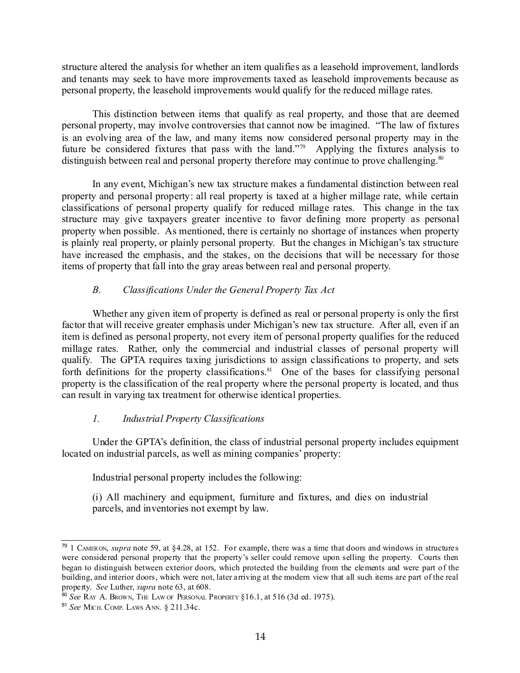structure altered the analysis for whether an item qualifies as a leasehold improvement, landlords and tenants may seek to have more improvements taxed as leasehold improvements because as personal property, the leasehold improvements would qualify for the reduced millage rates.

This distinction between items that qualify as real property, and those that are deemed personal property, may involve controversies that cannot now be imagined. "The law of fixtures is an evolving area of the law, and many items now considered personal property may in the future be considered fixtures that pass with the land."<sup>[79](#page-13-0)</sup> Applying the fixtures analysis to distinguish between real and personal property therefore may continue to prove challenging.<sup>[80](#page-13-1)</sup>

In any event, Michigan's new tax structure makes a fundamental distinction between real property and personal property: all real property is taxed at a higher millage rate, while certain classifications of personal property qualify for reduced millage rates. This change in the tax structure may give taxpayers greater incentive to favor defining more property as personal property when possible. As mentioned, there is certainly no shortage of instances when property is plainly real property, or plainly personal property. But the changes in Michigan's tax structure have increased the emphasis, and the stakes, on the decisions that will be necessary for those items of property that fall into the gray areas between real and personal property.

## *B. Classifications Under the General Property Tax Act*

Whether any given item of property is defined as real or personal property is only the first factor that will receive greater emphasis under Michigan's new tax structure. After all, even if an item is defined as personal property, not every item of personal property qualifies for the reduced millage rates. Rather, only the commercial and industrial classes of personal property will qualify. The GPTA requires taxing jurisdictions to assign classifications to property, and sets forth definitions for the property classifications.<sup>[81](#page-13-2)</sup> One of the bases for classifying personal property is the classification of the real property where the personal property is located, and thus can result in varying tax treatment for otherwise identical properties.

### *1. Industrial Property Classifications*

Under the GPTA's definition, the class of industrial personal property includes equipment located on industrial parcels, as well as mining companies' property:

Industrial personal property includes the following:

(i) All machinery and equipment, furniture and fixtures, and dies on industrial parcels, and inventories not exempt by law.

<span id="page-13-0"></span><sup>79</sup> 1 CAMERON, *supra* note 59, at §4.28, at 152. For example, there was a time that doors and windows in structures were considered personal property that the property's seller could remove upon selling the property. Courts then began to distinguish between exterior doors, which protected the building from the elements and were part of the building, and interior doors, which were not, later arriving at the modern view that all such items are part of the real property. *See* Luther, *supra* note 63, at 608.

<span id="page-13-1"></span><sup>80</sup> *See* RAY A. BROWN, THE LAW OF PERSONAL PROPERTY §16.1, at 516 (3d ed. 1975).

<span id="page-13-2"></span><sup>81</sup> *See* MICH. COMP. LAWS ANN*.* § 211.34c.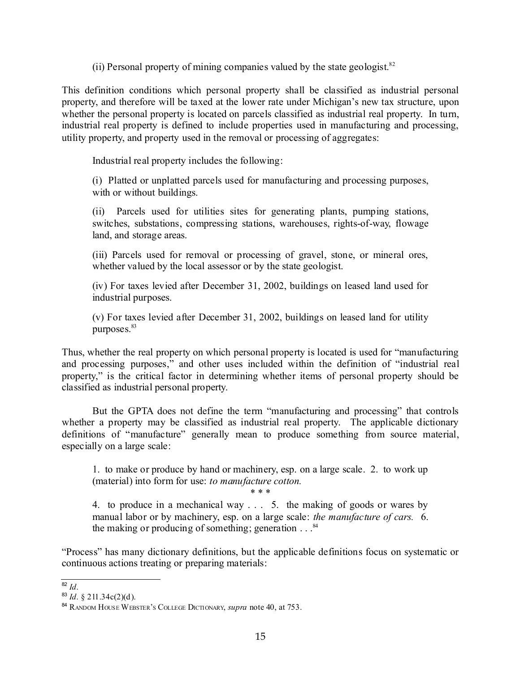(ii) Personal property of mining companies valued by the state geologist.<sup>[82](#page-14-0)</sup>

This definition conditions which personal property shall be classified as industrial personal property, and therefore will be taxed at the lower rate under Michigan's new tax structure, upon whether the personal property is located on parcels classified as industrial real property. In turn, industrial real property is defined to include properties used in manufacturing and processing, utility property, and property used in the removal or processing of aggregates:

Industrial real property includes the following:

(i) Platted or unplatted parcels used for manufacturing and processing purposes, with or without buildings.

(ii) Parcels used for utilities sites for generating plants, pumping stations, switches, substations, compressing stations, warehouses, rights-of-way, flowage land, and storage areas.

(iii) Parcels used for removal or processing of gravel, stone, or mineral ores, whether valued by the local assessor or by the state geologist.

(iv) For taxes levied after December 31, 2002, buildings on leased land used for industrial purposes.

(v) For taxes levied after December 31, 2002, buildings on leased land for utility purposes. [83](#page-14-1)

Thus, whether the real property on which personal property is located is used for "manufacturing and processing purposes," and other uses included within the definition of "industrial real property," is the critical factor in determining whether items of personal property should be classified as industrial personal property.

But the GPTA does not define the term "manufacturing and processing" that controls whether a property may be classified as industrial real property. The applicable dictionary definitions of "manufacture" generally mean to produce something from source material, especially on a large scale:

1. to make or produce by hand or machinery, esp. on a large scale. 2. to work up (material) into form for use: *to manufacture cotton.*

\* \* \*

4. to produce in a mechanical way . . . 5. the making of goods or wares by manual labor or by machinery, esp. on a large scale: *the manufacture of cars.* 6. the making or producing of something; generation . . . [84](#page-14-2)

"Process" has many dictionary definitions, but the applicable definitions focus on systematic or continuous actions treating or preparing materials:

<span id="page-14-0"></span>82 *Id*.

<span id="page-14-1"></span><sup>83</sup> *Id*. § 211.34c(2)(d).

<span id="page-14-2"></span><sup>84</sup> RANDOM HOUSE WEBSTER'<sup>S</sup> COLLEGE DICTIONARY, *supra* note 40, at 753.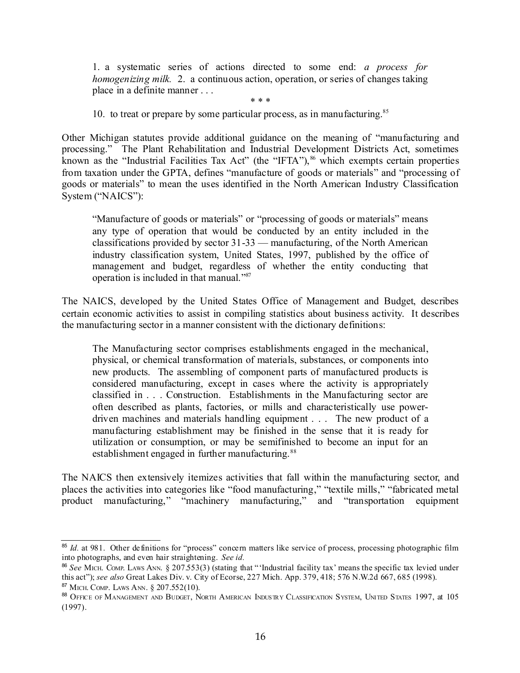1. a systematic series of actions directed to some end: *a process for homogenizing milk.* 2. a continuous action, operation, or series of changes taking place in a definite manner . . .

\* \* \*

10. to treat or prepare by some particular process, as in manufacturing.<sup>[85](#page-15-0)</sup>

Other Michigan statutes provide additional guidance on the meaning of "manufacturing and processing." The Plant Rehabilitation and Industrial Development Districts Act, sometimes known as the "Industrial Facilities Tax Act" (the "IFTA"),<sup>[86](#page-15-1)</sup> which exempts certain properties from taxation under the GPTA, defines "manufacture of goods or materials" and "processing of goods or materials" to mean the uses identified in the North American Industry Classification System ("NAICS"):

"Manufacture of goods or materials" or "processing of goods or materials" means any type of operation that would be conducted by an entity included in the classifications provided by sector 31-33 — manufacturing, of the North American industry classification system, United States, 1997, published by the office of management and budget, regardless of whether the entity conducting that operation is included in that manual." [87](#page-15-2)

The NAICS, developed by the United States Office of Management and Budget, describes certain economic activities to assist in compiling statistics about business activity. It describes the manufacturing sector in a manner consistent with the dictionary definitions:

The Manufacturing sector comprises establishments engaged in the mechanical, physical, or chemical transformation of materials, substances, or components into new products. The assembling of component parts of manufactured products is considered manufacturing, except in cases where the activity is appropriately classified in . . . Construction. Establishments in the Manufacturing sector are often described as plants, factories, or mills and characteristically use powerdriven machines and materials handling equipment . . . The new product of a manufacturing establishment may be finished in the sense that it is ready for utilization or consumption, or may be semifinished to become an input for an establishment engaged in further manufacturing.<sup>[88](#page-15-3)</sup>

The NAICS then extensively itemizes activities that fall within the manufacturing sector, and places the activities into categories like "food manufacturing," "textile mills," "fabricated metal product manufacturing," "machinery manufacturing," and "transportation equipment

<span id="page-15-0"></span><sup>&</sup>lt;sup>85</sup> *Id.* at 981. Other definitions for "process" concern matters like service of process, processing photographic film into photographs, and even hair straightening. *See id.*

<span id="page-15-1"></span><sup>&</sup>lt;sup>86</sup> See MICH. COMP. LAWS ANN. § 207.553(3) (stating that "'Industrial facility tax' means the specific tax levied under this act"); *see also* Great Lakes Div. v. City of Ecorse, 227 Mich. App. 379, 418; 576 N.W.2d 667, 685 (1998). <sup>87</sup> MICH. COMP. LAWS ANN. § 207.552(10).

<span id="page-15-3"></span><span id="page-15-2"></span><sup>88</sup> OFFICE OF MANAGEMENT AND BUDGET, NORTH AMERICAN INDUSTRY CLASSIFICATION SYSTEM, UNITED STATES 1997, at 105 (1997).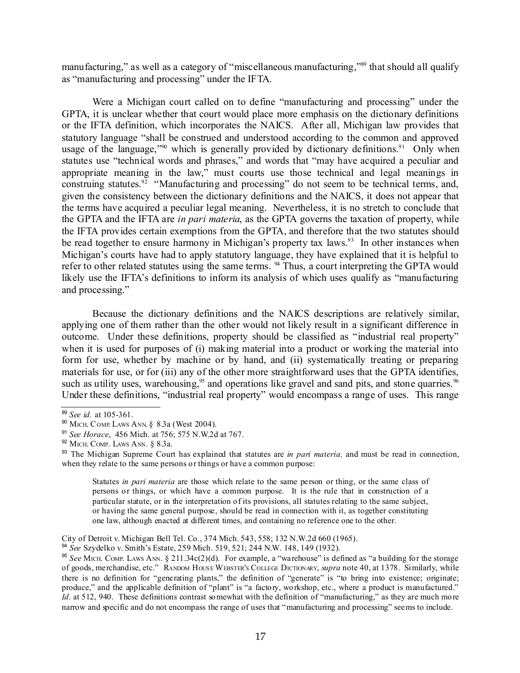manufacturing," as well as a category of "miscellaneous manufacturing,"<sup>[89](#page-16-0)</sup> that should all qualify as "manufacturing and processing" under the IFTA.

Were a Michigan court called on to define "manufacturing and processing" under the GPTA, it is unclear whether that court would place more emphasis on the dictionary definitions or the IFTA definition, which incorporates the NAICS. After all, Michigan law provides that statutory language "shall be construed and understood according to the common and approved usage of the language,"<sup>[90](#page-16-1)</sup> which is generally provided by dictionary definitions.<sup>[91](#page-16-2)</sup> Only when statutes use "technical words and phrases," and words that "may have acquired a peculiar and appropriate meaning in the law," must courts use those technical and legal meanings in construing statutes.<sup>[92](#page-16-3)</sup> "Manufacturing and processing" do not seem to be technical terms, and, given the consistency between the dictionary definitions and the NAICS, it does not appear that the terms have acquired a peculiar legal meaning. Nevertheless, it is no stretch to conclude that the GPTA and the IFTA are *in pari materia*, as the GPTA governs the taxation of property, while the IFTA provides certain exemptions from the GPTA, and therefore that the two statutes should be read together to ensure harmony in Michigan's property tax laws.<sup>[93](#page-16-4)</sup> In other instances when Michigan's courts have had to apply statutory language, they have explained that it is helpful to refer to other related statutes using the same terms. <sup>[94](#page-16-5)</sup> Thus, a court interpreting the GPTA would likely use the IFTA's definitions to inform its analysis of which uses qualify as "manufacturing and processing."

Because the dictionary definitions and the NAICS descriptions are relatively similar, applying one of them rather than the other would not likely result in a significant difference in outcome. Under these definitions, property should be classified as "industrial real property" when it is used for purposes of (i) making material into a product or working the material into form for use, whether by machine or by hand, and (ii) systematically treating or preparing materials for use, or for (iii) any of the other more straightforward uses that the GPTA identifies, such as utility uses, warehousing,<sup>[95](#page-16-6)</sup> and operations like gravel and sand pits, and stone quarries.<sup>[96](#page-17-0)</sup> Under these definitions, "industrial real property" would encompass a range of uses. This range

Statutes *in pari materia* are those which relate to the same person or thing, or the same class of persons or things, or which have a common purpose. It is the rule that in construction of a particular statute, or in the interpretation of its provisions, all statutes relating to the same subject, or having the same general purpose, should be read in connection with it, as together constituting one law, although enacted at different times, and containing no reference one to the other.

City of Detroit v. Michigan Bell Tel. Co., 374 Mich. 543, 558; 132 N.W.2d 660 (1965).

<span id="page-16-5"></span>94 *See* Szydelko v. Smith's Estate, 259 Mich. 519, 521; 244 N.W. 148, 149 (1932).

<span id="page-16-0"></span><sup>89</sup> *See id.* at 105-361.

<span id="page-16-1"></span><sup>90</sup> MICH. COMP. LAWS ANN. § 8.3a (West 2004).

<span id="page-16-2"></span><sup>91</sup> *See Horace*, 456 Mich. at 756; 575 N.W.2d at 767.

<span id="page-16-3"></span><sup>92</sup> MICH. COMP. LAWS ANN. § 8.3a.

<span id="page-16-4"></span><sup>93</sup> The Michigan Supreme Court has explained that statutes are *in pari materia,* and must be read in connection, when they relate to the same persons or things or have a common purpose:

<span id="page-16-6"></span><sup>95</sup> *See* MICH. COMP. LAWS ANN. § 211.34c(2)(d). For example, a "warehouse" is defined as "a building for the storage of goods, merchandise, etc." RANDOM HOUSE WEBSTER'<sup>S</sup> COLLEGE DICTIONARY, *supra* note 40, at 1378. Similarly, while there is no definition for "generating plants," the definition of "generate" is "to bring into existence; originate; produce," and the applicable definition of "plant" is "a factory, workshop, etc., where a product is manufactured." *Id*. at 512, 940. These definitions contrast somewhat with the definition of "manufacturing," as they are much more narrow and specific and do not encompass the range of uses that "manufacturing and processing" seems to include.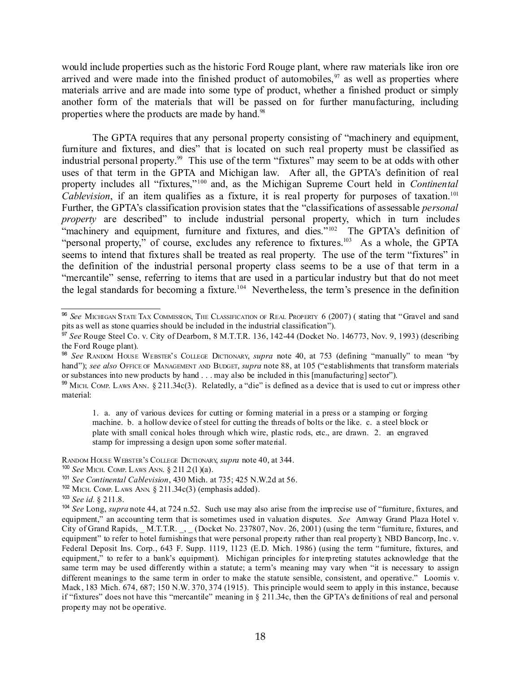would include properties such as the historic Ford Rouge plant, where raw materials like iron ore arrived and were made into the finished product of automobiles,  $\frac{97}{2}$  $\frac{97}{2}$  $\frac{97}{2}$  as well as properties where materials arrive and are made into some type of product, whether a finished product or simply another form of the materials that will be passed on for further manufacturing, including properties where the products are made by hand.<sup>[98](#page-17-2)</sup>

The GPTA requires that any personal property consisting of "machinery and equipment, furniture and fixtures, and dies" that is located on such real property must be classified as industrial personal property.<sup>[99](#page-17-3)</sup> This use of the term "fixtures" may seem to be at odds with other uses of that term in the GPTA and Michigan law. After all, the GPTA's definition of real property includes all "fixtures," [100](#page-17-4) and, as the Michigan Supreme Court held in *Continental Cablevision*, if an item qualifies as a fixture, it is real property for purposes of taxation. [101](#page-17-5) Further, the GPTA's classification provision states that the "classifications of assessable *personal property* are described" to include industrial personal property, which in turn includes "machinery and equipment, furniture and fixtures, and dies."<sup>[102](#page-17-6)</sup> The GPTA's definition of "personal property," of course, excludes any reference to fixtures.<sup>[103](#page-17-7)</sup> As a whole, the GPTA seems to intend that fixtures shall be treated as real property. The use of the term "fixtures" in the definition of the industrial personal property class seems to be a use of that term in a "mercantile" sense, referring to items that are used in a particular industry but that do not meet the legal standards for becoming a fixture. [104](#page-17-8) Nevertheless, the term's presence in the definition

1. a. any of various devices for cutting or forming material in a press or a stamping or forging machine. b. a hollow device of steel for cutting the threads of bolts or the like. c. a steel block or plate with small conical holes through which wire, plastic rods, etc., are drawn. 2. an engraved stamp for impressing a design upon some softer material.

RANDOM HOUSE WEBSTER'<sup>S</sup> COLLEGE DICTIONARY, *supra* note 40, at 344.

<span id="page-17-4"></span>100 *See* MICH. COMP. LAWS ANN. § 211.2(1)(a).

<span id="page-17-6"></span> $102$  MICH. COMP. LAWS ANN. § 211.34 $c(3)$  (emphasis added).

<span id="page-17-0"></span><sup>96</sup> *See* MICHIGAN STATE TAX COMMISSION, THE CLASSIFICATION OF REAL PROPERTY 6 (2007) ( stating that "Gravel and sand pits as well as stone quarries should be included in the industrial classification").

<span id="page-17-1"></span><sup>97</sup> *See* Rouge Steel Co. v. City of Dearborn, 8 M.T.T.R. 136, 142-44 (Docket No. 146773, Nov. 9, 1993) (describing the Ford Rouge plant).

<span id="page-17-2"></span><sup>98</sup> *See* RANDOM HOUSE WEBSTER'<sup>S</sup> COLLEGE DICTIONARY, *supra* note 40, at 753 (defining "manually" to mean "by hand"); *see also* OFFICE OF MANAGEMENT AND BUDGET, *supra* note 88, at 105 ("establishments that transform materials") or substances into new products by hand . . . may also be included in this [manufacturing] sector").

<span id="page-17-3"></span><sup>&</sup>lt;sup>99</sup> MICH. COMP. LAWS ANN. § 211.34c(3). Relatedly, a "die" is defined as a device that is used to cut or impress other material:

<span id="page-17-5"></span><sup>101</sup> *See Continental Cablevision*, 430 Mich. at 735; 425 N.W.2d at 56.

<span id="page-17-7"></span><sup>103</sup> *See id.* § 211.8.

<span id="page-17-8"></span><sup>104</sup> *See* Long, *supra* note 44, at 724 n.52. Such use may also arise from the imprecise use of "furniture, fixtures, and equipment," an accounting term that is sometimes used in valuation disputes. *See* Amway Grand Plaza Hotel v. City of Grand Rapids, M.T.T.R. , (Docket No. 237807, Nov. 26, 2001) (using the term "furniture, fixtures, and equipment" to refer to hotel furnishings that were personal property rather than real property); NBD Bancorp, Inc. v. Federal Deposit Ins. Corp., 643 F. Supp. 1119, 1123 (E.D. Mich. 1986) (using the term "furniture, fixtures, and equipment," to refer to a bank's equipment). Michigan principles for interpreting statutes acknowledge that the same term may be used differently within a statute; a term's meaning may vary when "it is necessary to assign different meanings to the same term in order to make the statute sensible, consistent, and operative." Loomis v. Mack, 183 Mich. 674, 687; 150 N.W. 370, 374 (1915). This principle would seem to apply in this instance, because if "fixtures" does not have this "mercantile" meaning in  $\S$  211.34c, then the GPTA's definitions of real and personal property may not be operative.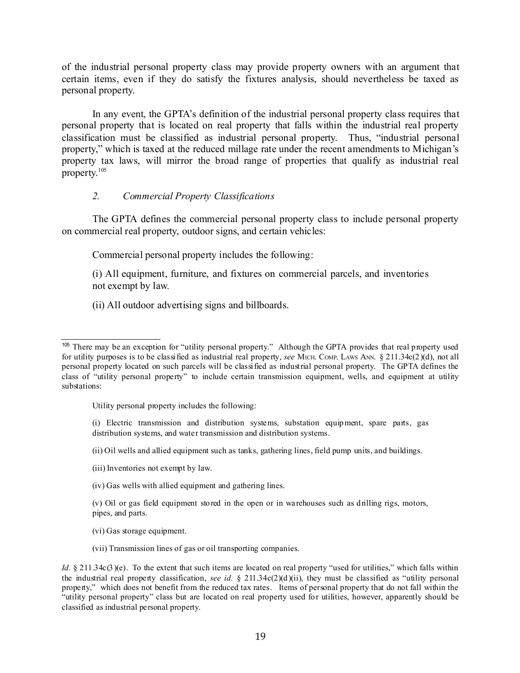of the industrial personal property class may provide property owners with an argument that certain items, even if they do satisfy the fixtures analysis, should nevertheless be taxed as personal property.

In any event, the GPTA's definition of the industrial personal property class requires that personal property that is located on real property that falls within the industrial real property classification must be classified as industrial personal property. Thus, "industrial personal property," which is taxed at the reduced millage rate under the recent amendments to Michigan's property tax laws, will mirror the broad range of properties that qualify as industrial real property. [105](#page-18-0)

#### *2. Commercial Property Classifications*

The GPTA defines the commercial personal property class to include personal property on commercial real property, outdoor signs, and certain vehicles:

Commercial personal property includes the following:

(i) All equipment, furniture, and fixtures on commercial parcels, and inventories not exempt by law.

(ii) All outdoor advertising signs and billboards.

- Utility personal property includes the following:
- (i) Electric transmission and distribution systems, substation equipment, spare parts, gas distribution systems, and water transmission and distribution systems.

(ii) Oil wells and allied equipment such as tanks, gathering lines, field pump units, and buildings.

- (iii) Inventories not exempt by law.
- (iv) Gas wells with allied equipment and gathering lines.
- (v) Oil or gas field equipment stored in the open or in warehouses such as drilling rigs, motors, pipes, and parts.
- (vi) Gas storage equipment.
- (vii) Transmission lines of gas or oil transporting companies.

<span id="page-18-0"></span><sup>&</sup>lt;sup>105</sup> There may be an exception for "utility personal property." Although the GPTA provides that real property used for utility purposes is to be classified as industrial real property, *see* MICH. COMP. LAWS ANN. § 211.34c(2)(d), not all personal property located on such parcels will be classified as industrial personal property. The GPTA defines the class of "utility personal property" to include certain transmission equipment, wells, and equipment at utility substations:

*Id.* § 211.34c(3)(e). To the extent that such items are located on real property "used for utilities," which falls within the industrial real property classification, *see id.*  $\S$  211.34c(2)(d)(ii), they must be classified as "utility personal property," which does not benefit from the reduced tax rates. Items of personal property that do not fall within the "utility personal property" class but are located on real property used for utilities, however, apparently should be classified as industrial personal property.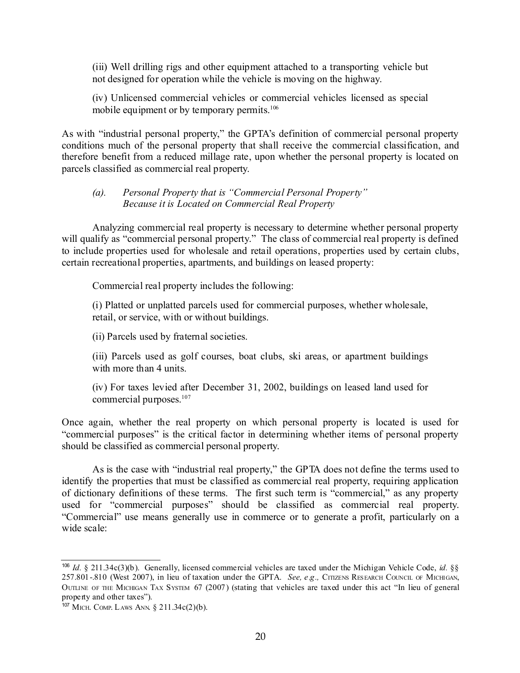(iii) Well drilling rigs and other equipment attached to a transporting vehicle but not designed for operation while the vehicle is moving on the highway.

(iv) Unlicensed commercial vehicles or commercial vehicles licensed as special mobile equipment or by temporary permits.<sup>[106](#page-19-0)</sup>

As with "industrial personal property," the GPTA's definition of commercial personal property conditions much of the personal property that shall receive the commercial classification, and therefore benefit from a reduced millage rate, upon whether the personal property is located on parcels classified as commercial real property.

#### *(a). Personal Property that is "Commercial Personal Property" Because it is Located on Commercial Real Property*

Analyzing commercial real property is necessary to determine whether personal property will qualify as "commercial personal property." The class of commercial real property is defined to include properties used for wholesale and retail operations, properties used by certain clubs, certain recreational properties, apartments, and buildings on leased property:

Commercial real property includes the following:

(i) Platted or unplatted parcels used for commercial purposes, whether wholesale, retail, or service, with or without buildings.

(ii) Parcels used by fraternal societies.

(iii) Parcels used as golf courses, boat clubs, ski areas, or apartment buildings with more than 4 units.

(iv) For taxes levied after December 31, 2002, buildings on leased land used for commercial purposes. [107](#page-19-1)

Once again, whether the real property on which personal property is located is used for "commercial purposes" is the critical factor in determining whether items of personal property should be classified as commercial personal property.

As is the case with "industrial real property," the GPTA does not define the terms used to identify the properties that must be classified as commercial real property, requiring application of dictionary definitions of these terms. The first such term is "commercial," as any property used for "commercial purposes" should be classified as commercial real property. "Commercial" use means generally use in commerce or to generate a profit, particularly on a wide scale:

<span id="page-19-0"></span><sup>106</sup> *Id.* § 211.34c(3)(b). Generally, licensed commercial vehicles are taxed under the Michigan Vehicle Code, *id.* §§ 257.801-.810 (West 2007), in lieu of taxation under the GPTA. *See, e.g.,* CITIZENS RESEARCH COUNCIL OF MICHIGAN, OUTLINE OF THE MICHIGAN TAX SYSTEM 67 (2007) (stating that vehicles are taxed under this act "In lieu of general property and other taxes").

<span id="page-19-1"></span><sup>107</sup> MICH. COMP. LAWS ANN. § 211.34c(2)(b).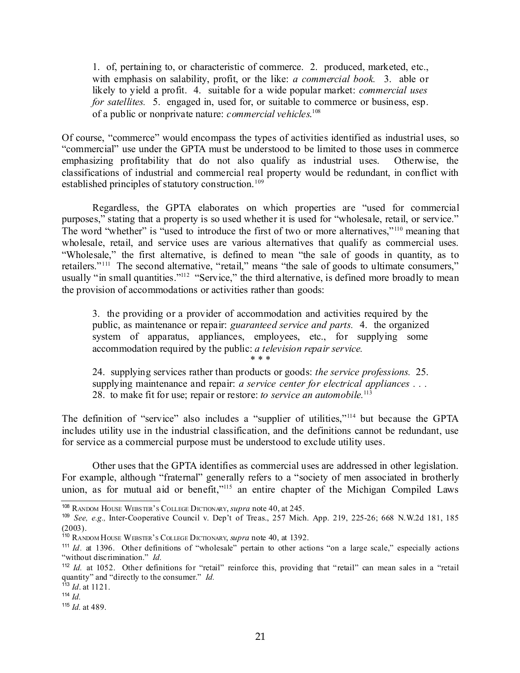1. of, pertaining to, or characteristic of commerce. 2. produced, marketed, etc., with emphasis on salability, profit, or the like: *a commercial book.* 3. able or likely to yield a profit. 4. suitable for a wide popular market: *commercial uses for satellites.* 5. engaged in, used for, or suitable to commerce or business, esp. of a public or nonprivate nature: *commercial vehicles*. [108](#page-20-0)

Of course, "commerce" would encompass the types of activities identified as industrial uses, so "commercial" use under the GPTA must be understood to be limited to those uses in commerce emphasizing profitability that do not also qualify as industrial uses. Otherwise, the classifications of industrial and commercial real property would be redundant, in conflict with established principles of statutory construction.<sup>[109](#page-20-1)</sup>

Regardless, the GPTA elaborates on which properties are "used for commercial purposes," stating that a property is so used whether it is used for "wholesale, retail, or service." The word "whether" is "used to introduce the first of two or more alternatives,"<sup>[110](#page-20-2)</sup> meaning that wholesale, retail, and service uses are various alternatives that qualify as commercial uses. "Wholesale," the first alternative, is defined to mean "the sale of goods in quantity, as to retailers."<sup>[111](#page-20-3)</sup> The second alternative, "retail," means "the sale of goods to ultimate consumers," usually "in small quantities."<sup>[112](#page-20-4)</sup> "Service," the third alternative, is defined more broadly to mean the provision of accommodations or activities rather than goods:

3. the providing or a provider of accommodation and activities required by the public, as maintenance or repair: *guaranteed service and parts.* 4. the organized system of apparatus, appliances, employees, etc., for supplying some accommodation required by the public: *a television repair service.*

\* \* \*

24. supplying services rather than products or goods: *the service professions.* 25. supplying maintenance and repair: *a service center for electrical appliances . . .* 28. to make fit for use; repair or restore: *to service an automobile.* [113](#page-20-5)

The definition of "service" also includes a "supplier of utilities,"<sup>[114](#page-20-6)</sup> but because the GPTA includes utility use in the industrial classification, and the definitions cannot be redundant, use for service as a commercial purpose must be understood to exclude utility uses.

Other uses that the GPTA identifies as commercial uses are addressed in other legislation. For example, although "fraternal" generally refers to a "society of men associated in brotherly union, as for mutual aid or benefit,"<sup>[115](#page-20-7)</sup> an entire chapter of the Michigan Compiled Laws

<span id="page-20-0"></span><sup>108</sup> RANDOM HOUSE WEBSTER'<sup>S</sup> COLLEGE DICTIONARY, *supra* note 40, at 245.

<span id="page-20-1"></span><sup>109</sup> *See, e.g.,* Inter-Cooperative Council v. Dep't of Treas., 257 Mich. App. 219, 225-26; 668 N.W.2d 181, 185  $(2003)$ .

<span id="page-20-2"></span><sup>110</sup> RANDOM HOUSE WEBSTER'<sup>S</sup> COLLEGE DICTIONARY, *supra* note 40, at 1392.

<span id="page-20-3"></span><sup>&</sup>lt;sup>111</sup> *Id.* at 1396. Other definitions of "wholesale" pertain to other actions "on a large scale," especially actions "without discrimination." *Id.*

<span id="page-20-4"></span><sup>&</sup>lt;sup>112</sup> Id. at 1052. Other definitions for "retail" reinforce this, providing that "retail" can mean sales in a "retail quantity" and "directly to the consumer." *Id.*

<span id="page-20-5"></span><sup>113</sup> *Id*. at 1121.

<span id="page-20-6"></span><sup>114</sup> *Id.*

<span id="page-20-7"></span><sup>115</sup> *Id.* at 489.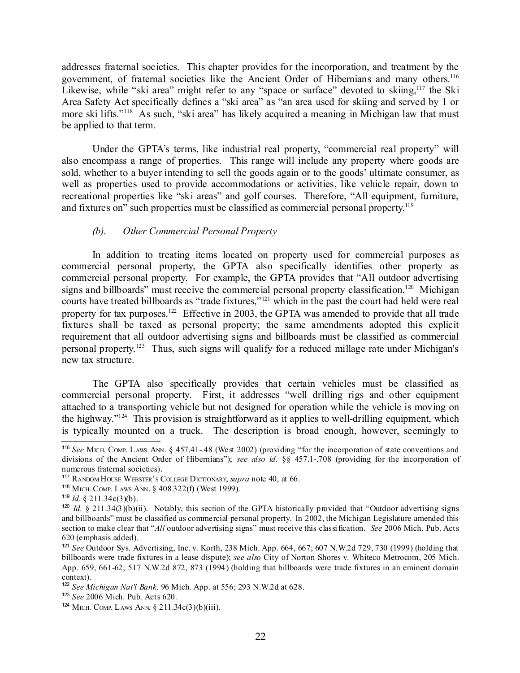addresses fraternal societies. This chapter provides for the incorporation, and treatment by the government, of fraternal societies like the Ancient Order of Hibernians and many others.<sup>[116](#page-21-0)</sup> Likewise, while "ski area" might refer to any "space or surface" devoted to skiing, <sup>[117](#page-21-1)</sup> the Ski Area Safety Act specifically defines a "ski area" as "an area used for skiing and served by 1 or more ski lifts."<sup>[118](#page-21-2)</sup> As such, "ski area" has likely acquired a meaning in Michigan law that must be applied to that term.

Under the GPTA's terms, like industrial real property, "commercial real property" will also encompass a range of properties. This range will include any property where goods are sold, whether to a buyer intending to sell the goods again or to the goods' ultimate consumer, as well as properties used to provide accommodations or activities, like vehicle repair, down to recreational properties like "ski areas" and golf courses. Therefore, "All equipment, furniture, and fixtures on" such properties must be classified as commercial personal property.<sup>[119](#page-21-3)</sup>

#### *(b). Other Commercial Personal Property*

In addition to treating items located on property used for commercial purposes as commercial personal property, the GPTA also specifically identifies other property as commercial personal property. For example, the GPTA provides that "All outdoor advertising signs and billboards" must receive the commercial personal property classification.<sup>[120](#page-21-4)</sup> Michigan courts have treated billboards as "trade fixtures," [121](#page-21-5) which in the past the court had held were real property for tax purposes.<sup>[122](#page-21-6)</sup> Effective in 2003, the GPTA was amended to provide that all trade fixtures shall be taxed as personal property; the same amendments adopted this explicit requirement that all outdoor advertising signs and billboards must be classified as commercial personal property.<sup>[123](#page-21-7)</sup> Thus, such signs will qualify for a reduced millage rate under Michigan's new tax structure.

The GPTA also specifically provides that certain vehicles must be classified as commercial personal property. First, it addresses "well drilling rigs and other equipment attached to a transporting vehicle but not designed for operation while the vehicle is moving on the highway."<sup>[124](#page-21-8)</sup> This provision is straightforward as it applies to well-drilling equipment, which is typically mounted on a truck. The description is broad enough, however, seemingly to

<span id="page-21-0"></span><sup>&</sup>lt;sup>116</sup> See MICH. COMP. LAWS ANN. § 457.41-.48 (West 2002) (providing "for the incorporation of state conventions and divisions of the Ancient Order of Hibernians"); *see also id.* §§ 457.1-.708 (providing for the incorporation of numerous fraternal societies).

<span id="page-21-1"></span><sup>117</sup> RANDOM HOUSE WEBSTER'<sup>S</sup> COLLEGE DICTIONARY, *supra* note 40, at 66.

<span id="page-21-2"></span><sup>118</sup> MICH. COMP. LAWS ANN. § 408.322(f) (West 1999).

<span id="page-21-3"></span><sup>119</sup> *Id*. § 211.34c(3)(b).

<span id="page-21-4"></span><sup>&</sup>lt;sup>120</sup> Id. § 211.34(3)(b)(ii). Notably, this section of the GPTA historically provided that "Outdoor advertising signs and billboards" must be classified as commercial personal property. In 2002, the Michigan Legislature amended this section to make clear that "*All* outdoor advertising signs" must receive this classification. *See* 2006 Mich. Pub. Acts 620 (emphasis added).

<span id="page-21-5"></span><sup>121</sup> *See* Outdoor Sys. Advertising, Inc. v. Korth, 238 Mich. App. 664, 667; 607 N.W.2d 729, 730 (1999) (holding that billboards were trade fixtures in a lease dispute); *see also* City of Norton Shores v. Whiteco Metrocom, 205 Mich. App. 659, 661-62; 517 N.W.2d 872, 873 (1994) (holding that billboards were trade fixtures in an eminent domain context).

<span id="page-21-6"></span><sup>122</sup> *See Michigan Nat'l Bank,* 96 Mich. App. at 556; 293 N.W.2d at 628.

<span id="page-21-7"></span><sup>123</sup> *See* 2006 Mich. Pub. Acts 620.

<span id="page-21-8"></span><sup>&</sup>lt;sup>124</sup> MICH. COMP. LAWS ANN.  $\S 211.34c(3)(b)(iii)$ .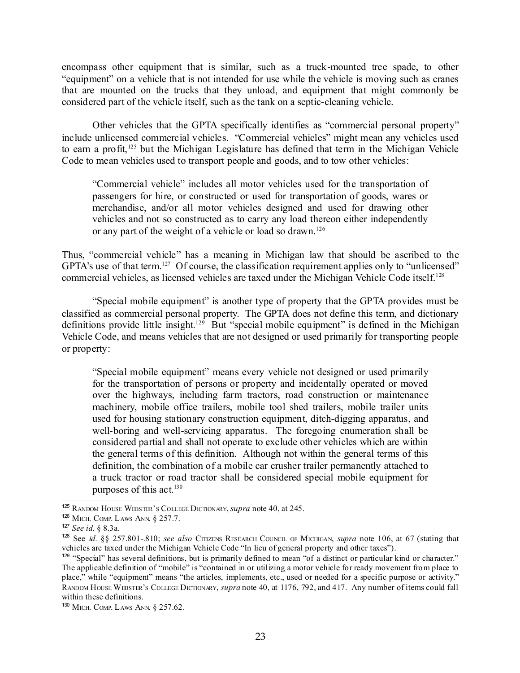encompass other equipment that is similar, such as a truck-mounted tree spade, to other "equipment" on a vehicle that is not intended for use while the vehicle is moving such as cranes that are mounted on the trucks that they unload, and equipment that might commonly be considered part of the vehicle itself, such as the tank on a septic-cleaning vehicle.

Other vehicles that the GPTA specifically identifies as "commercial personal property" include unlicensed commercial vehicles. "Commercial vehicles" might mean any vehicles used to earn a profit,<sup>[125](#page-22-0)</sup> but the Michigan Legislature has defined that term in the Michigan Vehicle Code to mean vehicles used to transport people and goods, and to tow other vehicles:

"Commercial vehicle" includes all motor vehicles used for the transportation of passengers for hire, or constructed or used for transportation of goods, wares or merchandise, and/or all motor vehicles designed and used for drawing other vehicles and not so constructed as to carry any load thereon either independently or any part of the weight of a vehicle or load so drawn.<sup>[126](#page-22-1)</sup>

Thus, "commercial vehicle" has a meaning in Michigan law that should be ascribed to the GPTA's use of that term.<sup>[127](#page-22-2)</sup> Of course, the classification requirement applies only to "unlicensed" commercial vehicles, as licensed vehicles are taxed under the Michigan Vehicle Code itself. [128](#page-22-3)

"Special mobile equipment" is another type of property that the GPTA provides must be classified as commercial personal property. The GPTA does not define this term, and dictionary definitions provide little insight.<sup>[129](#page-22-4)</sup> But "special mobile equipment" is defined in the Michigan Vehicle Code, and means vehicles that are not designed or used primarily for transporting people or property:

"Special mobile equipment" means every vehicle not designed or used primarily for the transportation of persons or property and incidentally operated or moved over the highways, including farm tractors, road construction or maintenance machinery, mobile office trailers, mobile tool shed trailers, mobile trailer units used for housing stationary construction equipment, ditch-digging apparatus, and well-boring and well-servicing apparatus. The foregoing enumeration shall be considered partial and shall not operate to exclude other vehicles which are within the general terms of this definition. Although not within the general terms of this definition, the combination of a mobile car crusher trailer permanently attached to a truck tractor or road tractor shall be considered special mobile equipment for purposes of this act. [130](#page-22-5)

<span id="page-22-0"></span><sup>125</sup> RANDOM HOUSE WEBSTER'<sup>S</sup> COLLEGE DICTIONARY, *supra* note 40, at 245.

<span id="page-22-1"></span><sup>126</sup> MICH. COMP. LAWS ANN. § 257.7.

<span id="page-22-2"></span><sup>127</sup> *See id.* § 8.3a.

<span id="page-22-3"></span><sup>128</sup> See *id.* §§ 257.801-.810; *see also* CITIZENS RESEARCH COUNCIL OF MICHIGAN, *supra* note 106, at 67 (stating that vehicles are taxed under the Michigan Vehicle Code "In lieu of general property and other taxes").

<span id="page-22-4"></span><sup>&</sup>lt;sup>129</sup> "Special" has several definitions, but is primarily defined to mean "of a distinct or particular kind or character." The applicable definition of "mobile" is "contained in or utilizing a motor vehicle for ready movement from place to place," while "equipment" means "the articles, implements, etc., used or needed for a specific purpose or activity." RANDOM HOUSE WEBSTER'<sup>S</sup> COLLEGE DICTIONARY, *supra* note 40, at 1176, 792, and 417. Any number of items could fall within these definitions.

<span id="page-22-5"></span><sup>130</sup> MICH. COMP. LAWS ANN. § 257.62.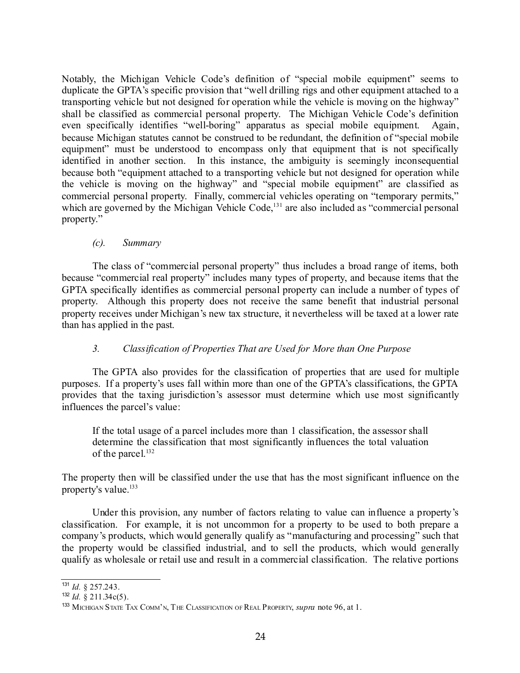Notably, the Michigan Vehicle Code's definition of "special mobile equipment" seems to duplicate the GPTA's specific provision that "well drilling rigs and other equipment attached to a transporting vehicle but not designed for operation while the vehicle is moving on the highway" shall be classified as commercial personal property. The Michigan Vehicle Code's definition even specifically identifies "well-boring" apparatus as special mobile equipment. Again, because Michigan statutes cannot be construed to be redundant, the definition of "special mobile equipment" must be understood to encompass only that equipment that is not specifically identified in another section. In this instance, the ambiguity is seemingly inconsequential because both "equipment attached to a transporting vehicle but not designed for operation while the vehicle is moving on the highway" and "special mobile equipment" are classified as commercial personal property. Finally, commercial vehicles operating on "temporary permits," which are governed by the Michigan Vehicle Code,<sup>[131](#page-23-0)</sup> are also included as "commercial personal property."

### *(c). Summary*

The class of "commercial personal property" thus includes a broad range of items, both because "commercial real property" includes many types of property, and because items that the GPTA specifically identifies as commercial personal property can include a number of types of property. Although this property does not receive the same benefit that industrial personal property receives under Michigan's new tax structure, it nevertheless will be taxed at a lower rate than has applied in the past.

# *3. Classification of Properties That are Used for More than One Purpose*

The GPTA also provides for the classification of properties that are used for multiple purposes. If a property's uses fall within more than one of the GPTA's classifications, the GPTA provides that the taxing jurisdiction's assessor must determine which use most significantly influences the parcel's value:

If the total usage of a parcel includes more than 1 classification, the assessor shall determine the classification that most significantly influences the total valuation of the parcel. [132](#page-23-1)

The property then will be classified under the use that has the most significant influence on the property's value. [133](#page-23-2)

Under this provision, any number of factors relating to value can influence a property's classification. For example, it is not uncommon for a property to be used to both prepare a company's products, which would generally qualify as "manufacturing and processing" such that the property would be classified industrial, and to sell the products, which would generally qualify as wholesale or retail use and result in a commercial classification. The relative portions

<span id="page-23-0"></span><sup>131</sup> *Id.* § 257.243.

<span id="page-23-1"></span><sup>132</sup> *Id.* § 211.34c(5).

<span id="page-23-2"></span><sup>133</sup> MICHIGAN STATE TAX COMM'N, THE CLASSIFICATION OF REAL PROPERTY, *supra* note 96, at 1.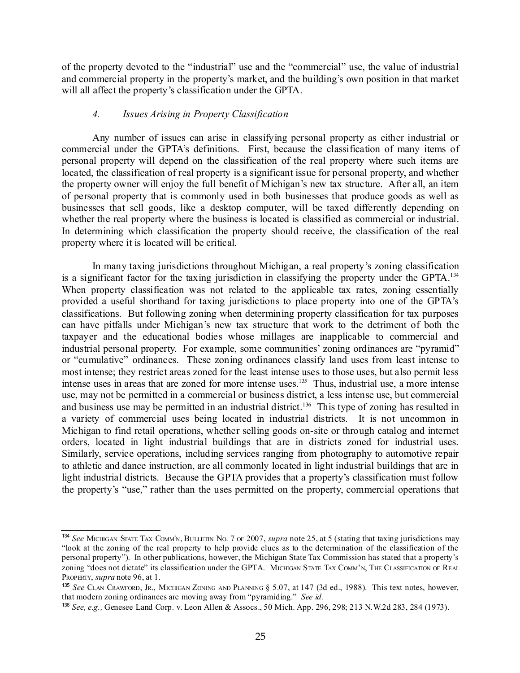of the property devoted to the "industrial" use and the "commercial" use, the value of industrial and commercial property in the property's market, and the building's own position in that market will all affect the property's classification under the GPTA.

#### *4. Issues Arising in Property Classification*

Any number of issues can arise in classifying personal property as either industrial or commercial under the GPTA's definitions. First, because the classification of many items of personal property will depend on the classification of the real property where such items are located, the classification of real property is a significant issue for personal property, and whether the property owner will enjoy the full benefit of Michigan's new tax structure. After all, an item of personal property that is commonly used in both businesses that produce goods as well as businesses that sell goods, like a desktop computer, will be taxed differently depending on whether the real property where the business is located is classified as commercial or industrial. In determining which classification the property should receive, the classification of the real property where it is located will be critical.

In many taxing jurisdictions throughout Michigan, a real property's zoning classification is a significant factor for the taxing jurisdiction in classifying the property under the GPTA.<sup>[134](#page-24-0)</sup> When property classification was not related to the applicable tax rates, zoning essentially provided a useful shorthand for taxing jurisdictions to place property into one of the GPTA's classifications. But following zoning when determining property classification for tax purposes can have pitfalls under Michigan's new tax structure that work to the detriment of both the taxpayer and the educational bodies whose millages are inapplicable to commercial and industrial personal property. For example, some communities' zoning ordinances are "pyramid" or "cumulative" ordinances. These zoning ordinances classify land uses from least intense to most intense; they restrict areas zoned for the least intense uses to those uses, but also permit less intense uses in areas that are zoned for more intense uses. [135](#page-24-1) Thus, industrial use, a more intense use, may not be permitted in a commercial or business district, a less intense use, but commercial and business use may be permitted in an industrial district. [136](#page-24-2) This type of zoning has resulted in a variety of commercial uses being located in industrial districts. It is not uncommon in Michigan to find retail operations, whether selling goods on-site or through catalog and internet orders, located in light industrial buildings that are in districts zoned for industrial uses. Similarly, service operations, including services ranging from photography to automotive repair to athletic and dance instruction, are all commonly located in light industrial buildings that are in light industrial districts. Because the GPTA provides that a property's classification must follow the property's "use," rather than the uses permitted on the property, commercial operations that

<span id="page-24-0"></span><sup>134</sup> *See* MICHIGAN STATE TAX COMM'N, BULLETIN NO. 7 OF 2007, *supra* note 25, at 5 (stating that taxing jurisdictions may "look at the zoning of the real property to help provide clues as to the determination of the classification of the personal property"). In other publications, however, the Michigan State Tax Commission has stated that a property's zoning "does not dictate" its classification under the GPTA. MICHIGAN STATE TAX COMM'N, THE CLASSIFICATION OF REAL PROPERTY, *supra* note 96, at 1.

<span id="page-24-1"></span><sup>135</sup> *See* CLAN CRAWFORD, JR., MICHIGAN ZONING AND PLANNING § 5.07, at 147 (3d ed., 1988). This text notes, however, that modern zoning ordinances are moving away from "pyramiding." *See id.*

<span id="page-24-2"></span><sup>136</sup> *See, e.g.,* Genesee Land Corp. v. Leon Allen & Assocs., 50 Mich. App. 296, 298; 213 N.W.2d 283, 284 (1973).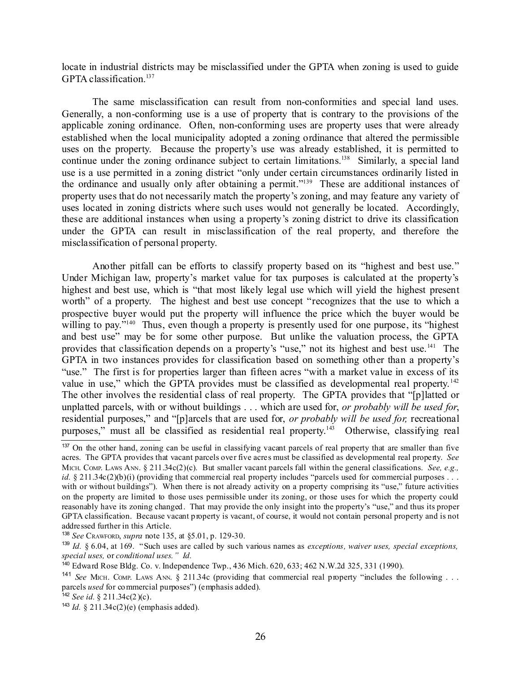locate in industrial districts may be misclassified under the GPTA when zoning is used to guide GPTA classification. [137](#page-25-0)

The same misclassification can result from non-conformities and special land uses. Generally, a non-conforming use is a use of property that is contrary to the provisions of the applicable zoning ordinance. Often, non-conforming uses are property uses that were already established when the local municipality adopted a zoning ordinance that altered the permissible uses on the property. Because the property's use was already established, it is permitted to continue under the zoning ordinance subject to certain limitations.<sup>[138](#page-25-1)</sup> Similarly, a special land use is a use permitted in a zoning district "only under certain circumstances ordinarily listed in the ordinance and usually only after obtaining a permit."<sup>[139](#page-25-2)</sup> These are additional instances of property uses that do not necessarily match the property's zoning, and may feature any variety of uses located in zoning districts where such uses would not generally be located. Accordingly, these are additional instances when using a property's zoning district to drive its classification under the GPTA can result in misclassification of the real property, and therefore the misclassification of personal property.

Another pitfall can be efforts to classify property based on its "highest and best use." Under Michigan law, property's market value for tax purposes is calculated at the property's highest and best use, which is "that most likely legal use which will yield the highest present worth" of a property. The highest and best use concept "recognizes that the use to which a prospective buyer would put the property will influence the price which the buyer would be willing to pay."<sup>[140](#page-25-3)</sup> Thus, even though a property is presently used for one purpose, its "highest and best use" may be for some other purpose. But unlike the valuation process, the GPTA provides that classification depends on a property's "use," not its highest and best use.<sup>[141](#page-25-4)</sup> The GPTA in two instances provides for classification based on something other than a property's "use." The first is for properties larger than fifteen acres "with a market value in excess of its value in use," which the GPTA provides must be classified as developmental real property.<sup>[142](#page-25-5)</sup> The other involves the residential class of real property. The GPTA provides that "[p]latted or unplatted parcels, with or without buildings . . . which are used for, *or probably will be used for*, residential purposes," and "[p]arcels that are used for, *or probably will be used for,* recreational purposes," must all be classified as residential real property.<sup>[143](#page-25-6)</sup> Otherwise, classifying real

<span id="page-25-0"></span><sup>&</sup>lt;sup>137</sup> On the other hand, zoning can be useful in classifying vacant parcels of real property that are smaller than five acres. The GPTA provides that vacant parcels over five acres must be classified as developmental real property. *See* MICH. COMP. LAWS ANN. § 211.34c(2)(c). But smaller vacant parcels fall within the general classifications. *See, e.g., id.* § 211.34c(2)(b)(i) (providing that commercial real property includes "parcels used for commercial purposes ... with or without buildings"). When there is not already activity on a property comprising its "use," future activities on the property are limited to those uses permissible under its zoning, or those uses for which the property could reasonably have its zoning changed. That may provide the only insight into the property's "use," and thus its proper GPTA classification. Because vacant property is vacant, of course, it would not contain personal property and is not addressed further in this Article.

<span id="page-25-1"></span><sup>138</sup> *See* CRAWFORD, *supra* note 135, at §5.01, p. 129-30.

<span id="page-25-2"></span><sup>139</sup> *Id.* § 6.04, at 169. "Such uses are called by such various names as *exceptions, waiver uses, special exceptions, special uses,* or *conditional uses." Id.*

<span id="page-25-3"></span><sup>140</sup> Edward Rose Bldg. Co. v. Independence Twp., 436 Mich. 620, 633; 462 N.W.2d 325, 331 (1990).

<span id="page-25-4"></span><sup>&</sup>lt;sup>141</sup> See MICH. COMP. LAWS ANN. § 211.34c (providing that commercial real property "includes the following . . . parcels *used* for commercial purposes") (emphasis added).

<span id="page-25-5"></span><sup>142</sup> *See id.* § 211.34c(2)(c).

<span id="page-25-6"></span><sup>143</sup> *Id.* § 211.34c(2)(e) (emphasis added).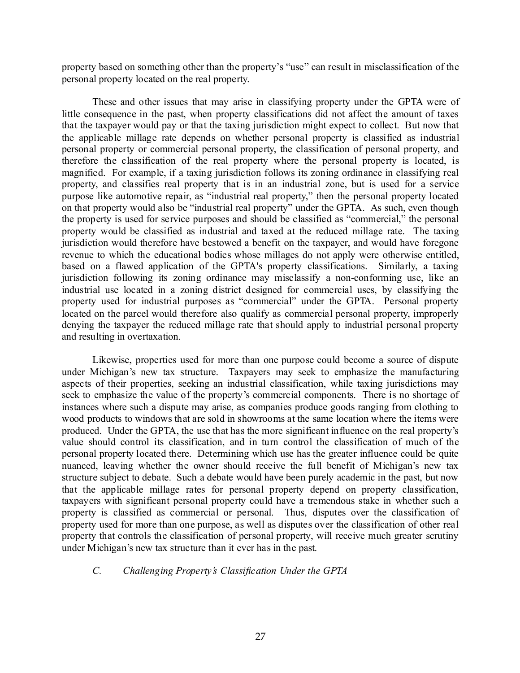property based on something other than the property's "use" can result in misclassification of the personal property located on the real property.

These and other issues that may arise in classifying property under the GPTA were of little consequence in the past, when property classifications did not affect the amount of taxes that the taxpayer would pay or that the taxing jurisdiction might expect to collect. But now that the applicable millage rate depends on whether personal property is classified as industrial personal property or commercial personal property, the classification of personal property, and therefore the classification of the real property where the personal property is located, is magnified. For example, if a taxing jurisdiction follows its zoning ordinance in classifying real property, and classifies real property that is in an industrial zone, but is used for a service purpose like automotive repair, as "industrial real property," then the personal property located on that property would also be "industrial real property" under the GPTA. As such, even though the property is used for service purposes and should be classified as "commercial," the personal property would be classified as industrial and taxed at the reduced millage rate. The taxing jurisdiction would therefore have bestowed a benefit on the taxpayer, and would have foregone revenue to which the educational bodies whose millages do not apply were otherwise entitled, based on a flawed application of the GPTA's property classifications. Similarly, a taxing jurisdiction following its zoning ordinance may misclassify a non-conforming use, like an industrial use located in a zoning district designed for commercial uses, by classifying the property used for industrial purposes as "commercial" under the GPTA. Personal property located on the parcel would therefore also qualify as commercial personal property, improperly denying the taxpayer the reduced millage rate that should apply to industrial personal property and resulting in overtaxation.

Likewise, properties used for more than one purpose could become a source of dispute under Michigan's new tax structure. Taxpayers may seek to emphasize the manufacturing aspects of their properties, seeking an industrial classification, while taxing jurisdictions may seek to emphasize the value of the property's commercial components. There is no shortage of instances where such a dispute may arise, as companies produce goods ranging from clothing to wood products to windows that are sold in showrooms at the same location where the items were produced. Under the GPTA, the use that has the more significant influence on the real property's value should control its classification, and in turn control the classification of much of the personal property located there. Determining which use has the greater influence could be quite nuanced, leaving whether the owner should receive the full benefit of Michigan's new tax structure subject to debate. Such a debate would have been purely academic in the past, but now that the applicable millage rates for personal property depend on property classification, taxpayers with significant personal property could have a tremendous stake in whether such a property is classified as commercial or personal. Thus, disputes over the classification of property used for more than one purpose, as well as disputes over the classification of other real property that controls the classification of personal property, will receive much greater scrutiny under Michigan's new tax structure than it ever has in the past.

### *C. Challenging Property's Classification Under the GPTA*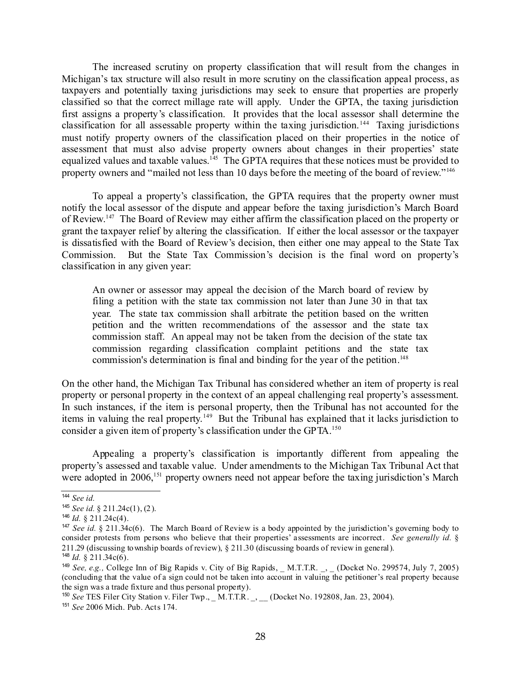The increased scrutiny on property classification that will result from the changes in Michigan's tax structure will also result in more scrutiny on the classification appeal process, as taxpayers and potentially taxing jurisdictions may seek to ensure that properties are properly classified so that the correct millage rate will apply. Under the GPTA, the taxing jurisdiction first assigns a property's classification. It provides that the local assessor shall determine the classification for all assessable property within the taxing jurisdiction.<sup>[144](#page-27-0)</sup> Taxing jurisdictions must notify property owners of the classification placed on their properties in the notice of assessment that must also advise property owners about changes in their properties' state equalized values and taxable values.<sup>[145](#page-27-1)</sup> The GPTA requires that these notices must be provided to property owners and "mailed not less than 10 days before the meeting of the board of review."<sup>[146](#page-27-2)</sup>

To appeal a property's classification, the GPTA requires that the property owner must notify the local assessor of the dispute and appear before the taxing jurisdiction's March Board of Review.<sup>[147](#page-27-3)</sup> The Board of Review may either affirm the classification placed on the property or grant the taxpayer relief by altering the classification. If either the local assessor or the taxpayer is dissatisfied with the Board of Review's decision, then either one may appeal to the State Tax Commission. But the State Tax Commission's decision is the final word on property's classification in any given year:

An owner or assessor may appeal the decision of the March board of review by filing a petition with the state tax commission not later than June 30 in that tax year. The state tax commission shall arbitrate the petition based on the written petition and the written recommendations of the assessor and the state tax commission staff. An appeal may not be taken from the decision of the state tax commission regarding classification complaint petitions and the state tax commission's determination is final and binding for the year of the petition. [148](#page-27-4)

On the other hand, the Michigan Tax Tribunal has considered whether an item of property is real property or personal property in the context of an appeal challenging real property's assessment. In such instances, if the item is personal property, then the Tribunal has not accounted for the items in valuing the real property.<sup>[149](#page-27-5)</sup> But the Tribunal has explained that it lacks jurisdiction to consider a given item of property's classification under the GPTA. [150](#page-27-6)

Appealing a property's classification is importantly different from appealing the property's assessed and taxable value. Under amendments to the Michigan Tax Tribunal Act that were adopted in 2006,<sup>[151](#page-27-7)</sup> property owners need not appear before the taxing jurisdiction's March

<span id="page-27-6"></span>150 *See* TES Filer City Station v. Filer Twp., \_ M.T.T.R. \_, \_\_ (Docket No. 192808, Jan. 23, 2004).

<span id="page-27-7"></span>151 *See* 2006 Mich. Pub. Acts 174.

<span id="page-27-0"></span><sup>144</sup> *See id.*

<span id="page-27-1"></span><sup>145</sup> *See id.* § 211.24c(1), (2).

<span id="page-27-2"></span><sup>146</sup> *Id.* § 211.24c(4).

<span id="page-27-3"></span><sup>147</sup> *See id.* § 211.34c(6). The March Board of Review is a body appointed by the jurisdiction's governing body to consider protests from persons who believe that their properties' assessments are incorrect. *See generally id.* § 211.29 (discussing township boards of review), § 211.30 (discussing boards of review in general). 148 *Id.* § 211.34c(6).

<span id="page-27-5"></span><span id="page-27-4"></span><sup>149</sup> *See, e.g.,* College Inn of Big Rapids v. City of Big Rapids, \_ M.T.T.R. \_, \_ (Docket No. 299574, July 7, 2005) (concluding that the value of a sign could not be taken into account in valuing the petitioner's real property because the sign was a trade fixture and thus personal property).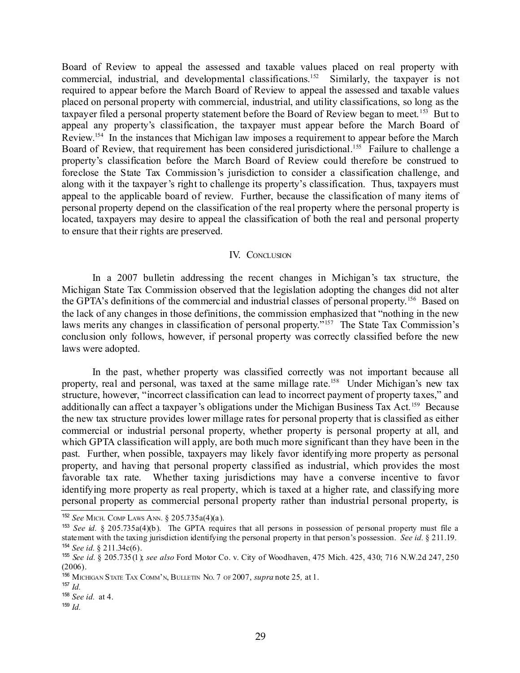Board of Review to appeal the assessed and taxable values placed on real property with commercial, industrial, and developmental classifications. [152](#page-28-0) Similarly, the taxpayer is not required to appear before the March Board of Review to appeal the assessed and taxable values placed on personal property with commercial, industrial, and utility classifications, so long as the taxpayer filed a personal property statement before the Board of Review began to meet.<sup>[153](#page-28-1)</sup> But to appeal any property's classification, the taxpayer must appear before the March Board of Review.<sup>[154](#page-28-2)</sup> In the instances that Michigan law imposes a requirement to appear before the March Board of Review, that requirement has been considered jurisdictional.<sup>[155](#page-28-3)</sup> Failure to challenge a property's classification before the March Board of Review could therefore be construed to foreclose the State Tax Commission's jurisdiction to consider a classification challenge, and along with it the taxpayer's right to challenge its property's classification. Thus, taxpayers must appeal to the applicable board of review. Further, because the classification of many items of personal property depend on the classification of the real property where the personal property is located, taxpayers may desire to appeal the classification of both the real and personal property to ensure that their rights are preserved.

#### IV. CONCLUSION

In a 2007 bulletin addressing the recent changes in Michigan's tax structure, the Michigan State Tax Commission observed that the legislation adopting the changes did not alter the GPTA's definitions of the commercial and industrial classes of personal property. [156](#page-28-4) Based on the lack of any changes in those definitions, the commission emphasized that "nothing in the new laws merits any changes in classification of personal property."<sup>[157](#page-28-5)</sup> The State Tax Commission's conclusion only follows, however, if personal property was correctly classified before the new laws were adopted.

In the past, whether property was classified correctly was not important because all property, real and personal, was taxed at the same millage rate.<sup>[158](#page-28-6)</sup> Under Michigan's new tax structure, however, "incorrect classification can lead to incorrect payment of property taxes," and additionally can affect a taxpayer's obligations under the Michigan Business Tax Act.<sup>[159](#page-28-7)</sup> Because the new tax structure provides lower millage rates for personal property that is classified as either commercial or industrial personal property, whether property is personal property at all, and which GPTA classification will apply, are both much more significant than they have been in the past. Further, when possible, taxpayers may likely favor identifying more property as personal property, and having that personal property classified as industrial, which provides the most favorable tax rate. Whether taxing jurisdictions may have a converse incentive to favor identifying more property as real property, which is taxed at a higher rate, and classifying more personal property as commercial personal property rather than industrial personal property, is

<span id="page-28-0"></span><sup>152</sup> *See* MICH. COMP LAWS ANN*.* § 205.735a(4)(a).

<span id="page-28-1"></span><sup>153</sup> *See id.* § 205.735a(4)(b). The GPTA requires that all persons in possession of personal property must file a statement with the taxing jurisdiction identifying the personal property in that person's possession. *See id.* § 211.19. 154 *See id.* § 211.34c(6).

<span id="page-28-3"></span><span id="page-28-2"></span><sup>155</sup> *See id.* § 205.735(1); *see also* Ford Motor Co. v. City of Woodhaven, 475 Mich. 425, 430; 716 N.W.2d 247, 250  $(2006)$ .

<span id="page-28-4"></span><sup>156</sup> MICHIGAN STATE TAX COMM'N, BULLETIN NO. 7 OF 2007, *supra* note 25*,* at 1.

<span id="page-28-5"></span><sup>157</sup> *Id.*

<span id="page-28-6"></span><sup>158</sup> *See id.* at 4.

<span id="page-28-7"></span><sup>159</sup> *Id.*